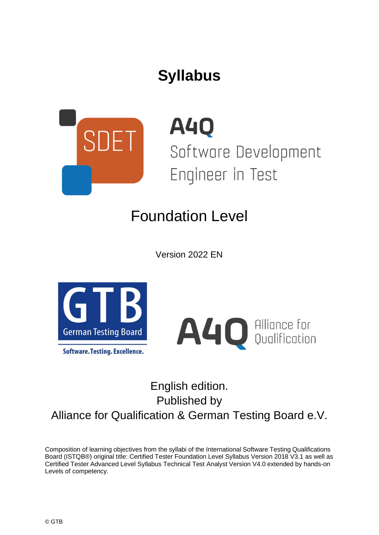# **Syllabus**



**A40** Software Development Engineer in Test

# Foundation Level

Version 2022 EN



**Software. Testing. Excellence.** 



## English edition. Published by Alliance for Qualification & German Testing Board e.V.

Composition of learning objectives from the syllabi of the International Software Testing Qualifications Board (ISTQB®) original title: Certified Tester Foundation Level Syllabus Version 2018 V3.1 as well as Certified Tester Advanced Level Syllabus Technical Test Analyst Version V4.0 extended by hands-on Levels of competency.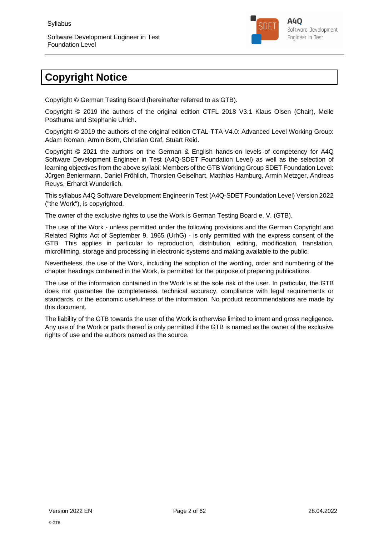

## **Copyright Notice**

Copyright © German Testing Board (hereinafter referred to as GTB).

Copyright © 2019 the authors of the original edition CTFL 2018 V3.1 Klaus Olsen (Chair), Meile Posthuma and Stephanie Ulrich.

Copyright © 2019 the authors of the original edition CTAL-TTA V4.0: Advanced Level Working Group: Adam Roman, Armin Born, Christian Graf, Stuart Reid.

Copyright © 2021 the authors on the German & English hands-on levels of competency for A4Q Software Development Engineer in Test (A4Q-SDET Foundation Level) as well as the selection of learning objectives from the above syllabi: Members of the GTB Working Group SDET Foundation Level: Jürgen Beniermann, Daniel Fröhlich, Thorsten Geiselhart, Matthias Hamburg, Armin Metzger, Andreas Reuys, Erhardt Wunderlich.

This syllabus A4Q Software Development Engineer in Test (A4Q-SDET Foundation Level) Version 2022 ("the Work"), is copyrighted.

The owner of the exclusive rights to use the Work is German Testing Board e. V. (GTB).

The use of the Work - unless permitted under the following provisions and the German Copyright and Related Rights Act of September 9, 1965 (UrhG) - is only permitted with the express consent of the GTB. This applies in particular to reproduction, distribution, editing, modification, translation, microfilming, storage and processing in electronic systems and making available to the public.

Nevertheless, the use of the Work, including the adoption of the wording, order and numbering of the chapter headings contained in the Work, is permitted for the purpose of preparing publications.

The use of the information contained in the Work is at the sole risk of the user. In particular, the GTB does not guarantee the completeness, technical accuracy, compliance with legal requirements or standards, or the economic usefulness of the information. No product recommendations are made by this document.

The liability of the GTB towards the user of the Work is otherwise limited to intent and gross negligence. Any use of the Work or parts thereof is only permitted if the GTB is named as the owner of the exclusive rights of use and the authors named as the source.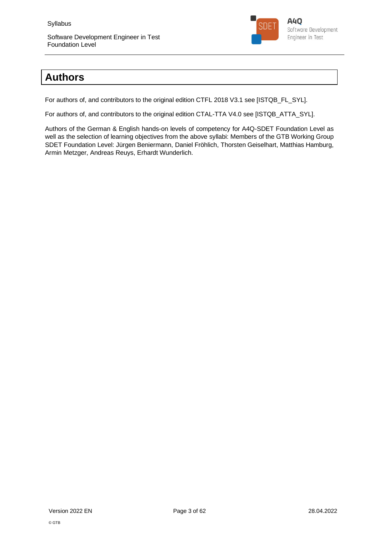

## **Authors**

For authors of, and contributors to the original edition CTFL 2018 V3.1 see [ISTQB\_FL\_SYL].

For authors of, and contributors to the original edition CTAL-TTA V4.0 see [ISTQB\_ATTA\_SYL].

Authors of the German & English hands-on levels of competency for A4Q-SDET Foundation Level as well as the selection of learning objectives from the above syllabi: Members of the GTB Working Group SDET Foundation Level: Jürgen Beniermann, Daniel Fröhlich, Thorsten Geiselhart, Matthias Hamburg, Armin Metzger, Andreas Reuys, Erhardt Wunderlich.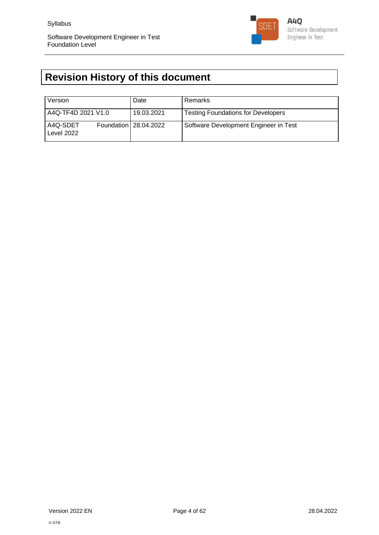

## **Revision History of this document**

| Version                | Date                  | Remarks                                   |
|------------------------|-----------------------|-------------------------------------------|
| A4Q-TF4D 2021 V1.0     | 19.03.2021            | <b>Testing Foundations for Developers</b> |
| A4Q-SDET<br>Level 2022 | Foundation 28.04.2022 | Software Development Engineer in Test     |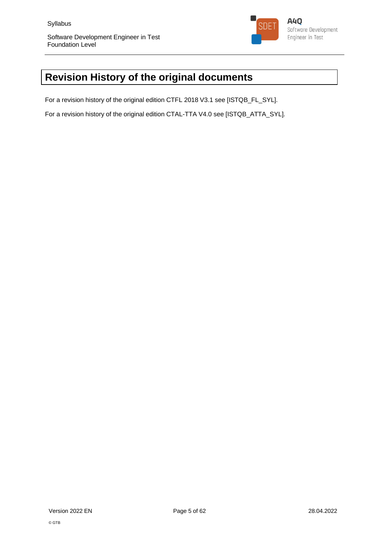

## **Revision History of the original documents**

For a revision history of the original edition CTFL 2018 V3.1 see [ISTQB\_FL\_SYL].

For a revision history of the original edition CTAL-TTA V4.0 see [ISTQB\_ATTA\_SYL].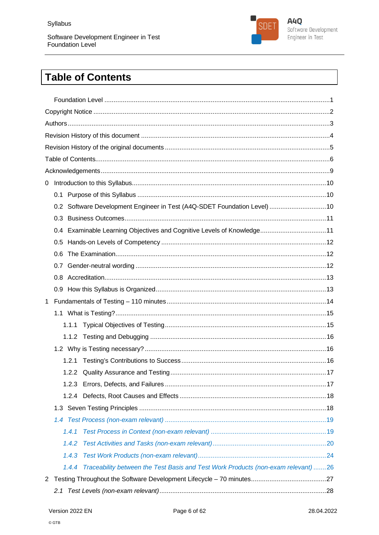

## **Table of Contents**

| 0                                                                                         |  |
|-------------------------------------------------------------------------------------------|--|
|                                                                                           |  |
| 0.2 Software Development Engineer in Test (A4Q-SDET Foundation Level) 10                  |  |
|                                                                                           |  |
| 0.4 Examinable Learning Objectives and Cognitive Levels of Knowledge11                    |  |
|                                                                                           |  |
| 0.6                                                                                       |  |
|                                                                                           |  |
|                                                                                           |  |
|                                                                                           |  |
| $\mathbf 1$                                                                               |  |
|                                                                                           |  |
|                                                                                           |  |
|                                                                                           |  |
|                                                                                           |  |
|                                                                                           |  |
|                                                                                           |  |
|                                                                                           |  |
|                                                                                           |  |
|                                                                                           |  |
|                                                                                           |  |
| 1.4.1                                                                                     |  |
| 1.4.2                                                                                     |  |
| 1.4.3                                                                                     |  |
| Traceability between the Test Basis and Test Work Products (non-exam relevant)26<br>1.4.4 |  |
| $\mathbf{2}^{\prime}$                                                                     |  |
| 2.1                                                                                       |  |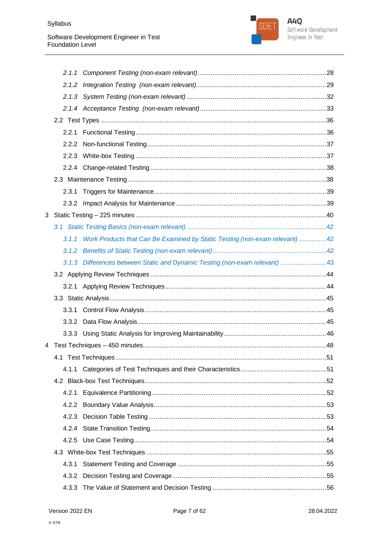

|   | 2.2.3 |                                                                                  |  |
|---|-------|----------------------------------------------------------------------------------|--|
|   |       |                                                                                  |  |
|   |       |                                                                                  |  |
|   |       |                                                                                  |  |
|   |       |                                                                                  |  |
| 3 |       |                                                                                  |  |
|   |       |                                                                                  |  |
|   |       | 3.1.1 Work Products that Can Be Examined by Static Testing (non-exam relevant)42 |  |
|   | 3.1.2 |                                                                                  |  |
|   |       | 3.1.3 Differences between Static and Dynamic Testing (non-exam relevant) 43      |  |
|   |       |                                                                                  |  |
|   |       |                                                                                  |  |
|   |       |                                                                                  |  |
|   |       |                                                                                  |  |
|   | 3.3.1 |                                                                                  |  |
|   |       |                                                                                  |  |
|   |       |                                                                                  |  |
|   |       |                                                                                  |  |
|   |       |                                                                                  |  |
|   |       |                                                                                  |  |
|   |       |                                                                                  |  |
|   | 4.2.1 |                                                                                  |  |
|   | 4.2.2 |                                                                                  |  |
|   | 4.2.3 |                                                                                  |  |
|   | 4.2.4 |                                                                                  |  |
|   |       |                                                                                  |  |
|   |       |                                                                                  |  |
|   | 4.3.1 |                                                                                  |  |
|   | 4.3.2 |                                                                                  |  |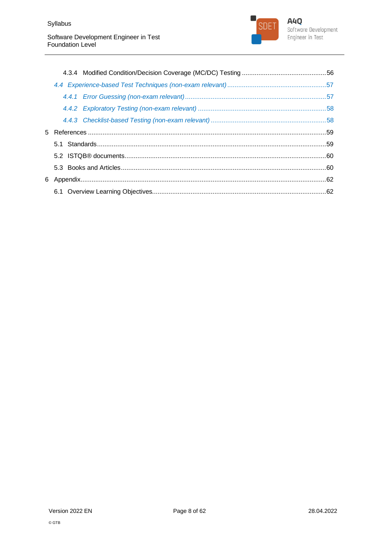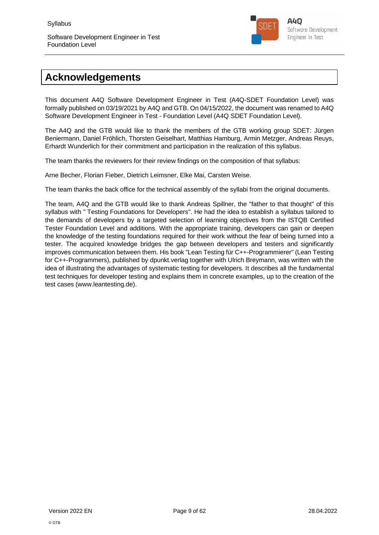

## **Acknowledgements**

This document A4Q Software Development Engineer in Test (A4Q-SDET Foundation Level) was formally published on 03/19/2021 by A4Q and GTB. On 04/15/2022, the document was renamed to A4Q Software Development Engineer in Test - Foundation Level (A4Q SDET Foundation Level).

The A4Q and the GTB would like to thank the members of the GTB working group SDET: Jürgen Beniermann, Daniel Fröhlich, Thorsten Geiselhart, Matthias Hamburg, Armin Metzger, Andreas Reuys, Erhardt Wunderlich for their commitment and participation in the realization of this syllabus.

The team thanks the reviewers for their review findings on the composition of that syllabus:

Arne Becher, Florian Fieber, Dietrich Leimsner, Elke Mai, Carsten Weise.

The team thanks the back office for the technical assembly of the syllabi from the original documents.

The team, A4Q and the GTB would like to thank Andreas Spillner, the "father to that thought" of this syllabus with " Testing Foundations for Developers". He had the idea to establish a syllabus tailored to the demands of developers by a targeted selection of learning objectives from the ISTQB Certified Tester Foundation Level and additions. With the appropriate training, developers can gain or deepen the knowledge of the testing foundations required for their work without the fear of being turned into a tester. The acquired knowledge bridges the gap between developers and testers and significantly improves communication between them. His book "Lean Testing für C++-Programmierer" (Lean Testing for C++-Programmers), published by dpunkt.verlag together with Ulrich Breymann, was written with the idea of illustrating the advantages of systematic testing for developers. It describes all the fundamental test techniques for developer testing and explains them in concrete examples, up to the creation of the test cases (www.leantesting.de).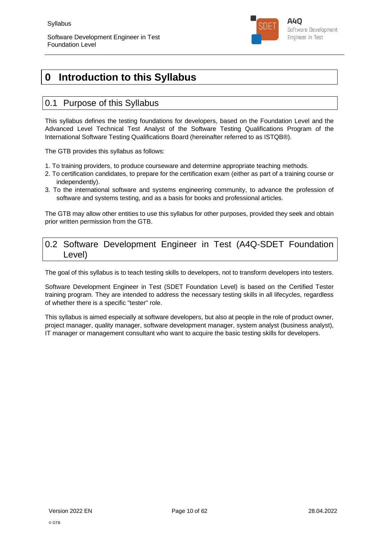

## **0 Introduction to this Syllabus**

## 0.1 Purpose of this Syllabus

This syllabus defines the testing foundations for developers, based on the Foundation Level and the Advanced Level Technical Test Analyst of the Software Testing Qualifications Program of the International Software Testing Qualifications Board (hereinafter referred to as ISTQB®).

The GTB provides this syllabus as follows:

- 1. To training providers, to produce courseware and determine appropriate teaching methods.
- 2. To certification candidates, to prepare for the certification exam (either as part of a training course or independently).
- 3. To the international software and systems engineering community, to advance the profession of software and systems testing, and as a basis for books and professional articles.

The GTB may allow other entities to use this syllabus for other purposes, provided they seek and obtain prior written permission from the GTB.

## 0.2 Software Development Engineer in Test (A4Q-SDET Foundation Level)

The goal of this syllabus is to teach testing skills to developers, not to transform developers into testers.

Software Development Engineer in Test (SDET Foundation Level) is based on the Certified Tester training program. They are intended to address the necessary testing skills in all lifecycles, regardless of whether there is a specific "tester" role.

This syllabus is aimed especially at software developers, but also at people in the role of product owner, project manager, quality manager, software development manager, system analyst (business analyst), IT manager or management consultant who want to acquire the basic testing skills for developers.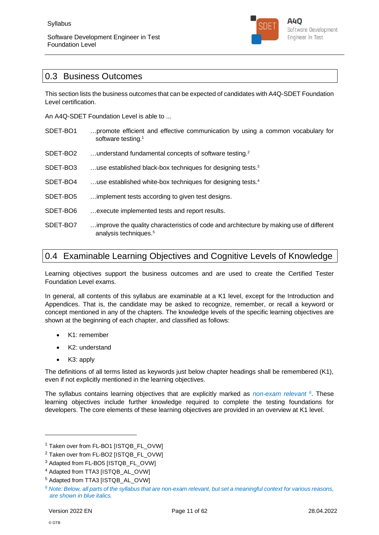

## 0.3 Business Outcomes

This section lists the business outcomes that can be expected of candidates with A4Q-SDET Foundation Level certification.

An A4Q-SDET Foundation Level is able to ...

- SDET-BO1 …promote efficient and effective communication by using a common vocabulary for software testing.<sup>1</sup>
- SDET-BO2 …understand fundamental concepts of software testing.<sup>2</sup>
- SDET-BO3 ...use established black-box techniques for designing tests.<sup>3</sup>
- SDET-BO4 …use established white-box techniques for designing tests.<sup>4</sup>
- SDET-BO5 …implement tests according to given test designs.
- SDET-BO6 …execute implemented tests and report results.
- SDET-BO7 …improve the quality characteristics of code and architecture by making use of different analysis techniques.<sup>5</sup>

## 0.4 Examinable Learning Objectives and Cognitive Levels of Knowledge

Learning objectives support the business outcomes and are used to create the Certified Tester Foundation Level exams.

In general, all contents of this syllabus are examinable at a K1 level, except for the Introduction and Appendices. That is, the candidate may be asked to recognize, remember, or recall a keyword or concept mentioned in any of the chapters. The knowledge levels of the specific learning objectives are shown at the beginning of each chapter, and classified as follows:

- K1: remember
- K2: understand
- K3: apply

The definitions of all terms listed as keywords just below chapter headings shall be remembered (K1), even if not explicitly mentioned in the learning objectives.

The syllabus contains learning objectives that are explicitly marked as *non-exam relevant <sup>6</sup>* . These learning objectives include further knowledge required to complete the testing foundations for developers. The core elements of these learning objectives are provided in an overview at K1 level.

<sup>1</sup> Taken over from FL-BO1 [ISTQB\_FL\_OVW]

<sup>&</sup>lt;sup>2</sup> Taken over from FL-BO2 [ISTQB\_FL\_OVW]

<sup>&</sup>lt;sup>3</sup> Adapted from FL-BO5 [ISTQB\_FL\_OVW]

<sup>4</sup> Adapted from TTA3 [ISTQB\_AL\_OVW]

<sup>5</sup> Adapted from TTA3 [ISTQB\_AL\_OVW]

*<sup>6</sup> Note: Below, all parts of the syllabus that are non-exam relevant, but set a meaningful context for various reasons, are shown in blue italics.*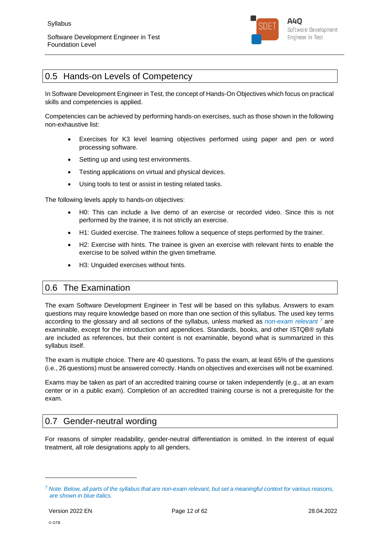

## 0.5 Hands-on Levels of Competency

In Software Development Engineer in Test, the concept of Hands-On Objectives which focus on practical skills and competencies is applied.

Competencies can be achieved by performing hands-on exercises, such as those shown in the following non-exhaustive list:

- Exercises for K3 level learning objectives performed using paper and pen or word processing software.
- Setting up and using test environments.
- Testing applications on virtual and physical devices.
- Using tools to test or assist in testing related tasks.

The following levels apply to hands-on objectives:

- H0: This can include a live demo of an exercise or recorded video. Since this is not performed by the trainee, it is not strictly an exercise.
- H1: Guided exercise. The trainees follow a sequence of steps performed by the trainer.
- H2: Exercise with hints. The trainee is given an exercise with relevant hints to enable the exercise to be solved within the given timeframe.
- H3: Unguided exercises without hints.

## 0.6 The Examination

The exam Software Development Engineer in Test will be based on this syllabus. Answers to exam questions may require knowledge based on more than one section of this syllabus. The used key terms according to the glossary and all sections of the syllabus, unless marked as *non-exam relevant <sup>7</sup>* are examinable, except for the introduction and appendices. Standards, books, and other ISTQB® syllabi are included as references, but their content is not examinable, beyond what is summarized in this syllabus itself.

The exam is multiple choice. There are 40 questions. To pass the exam, at least 65% of the questions (i.e., 26 questions) must be answered correctly. Hands on objectives and exercises will not be examined.

Exams may be taken as part of an accredited training course or taken independently (e.g., at an exam center or in a public exam). Completion of an accredited training course is not a prerequisite for the exam.

## 0.7 Gender-neutral wording

For reasons of simpler readability, gender-neutral differentiation is omitted. In the interest of equal treatment, all role designations apply to all genders.

*<sup>7</sup> Note: Below, all parts of the syllabus that are non-exam relevant, but set a meaningful context for various reasons, are shown in blue italics.*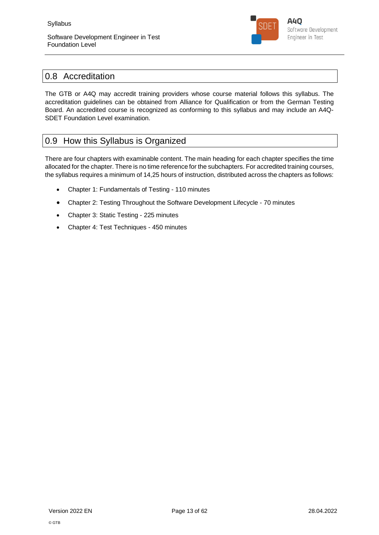

## 0.8 Accreditation

The GTB or A4Q may accredit training providers whose course material follows this syllabus. The accreditation guidelines can be obtained from Alliance for Qualification or from the German Testing Board. An accredited course is recognized as conforming to this syllabus and may include an A4Q-SDET Foundation Level examination.

## 0.9 How this Syllabus is Organized

There are four chapters with examinable content. The main heading for each chapter specifies the time allocated for the chapter. There is no time reference for the subchapters. For accredited training courses, the syllabus requires a minimum of 14,25 hours of instruction, distributed across the chapters as follows:

- Chapter 1: Fundamentals of Testing 110 minutes
- Chapter 2: Testing Throughout the Software Development Lifecycle 70 minutes
- Chapter 3: Static Testing 225 minutes
- Chapter 4: Test Techniques 450 minutes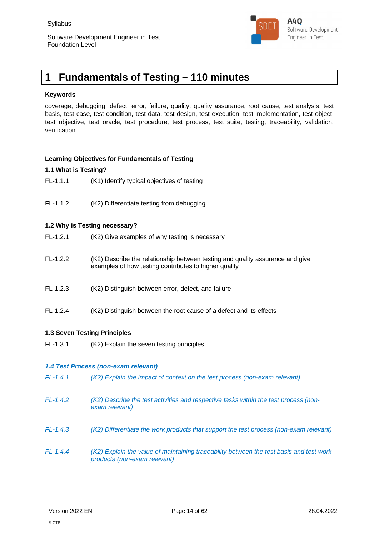

## **1 Fundamentals of Testing – 110 minutes**

#### **Keywords**

coverage, debugging, defect, error, failure, quality, quality assurance, root cause, test analysis, test basis, test case, test condition, test data, test design, test execution, test implementation, test object, test objective, test oracle, test procedure, test process, test suite, testing, traceability, validation, verification

#### **Learning Objectives for Fundamentals of Testing**

#### **1.1 What is Testing?**

- FL-1.1.1 (K1) Identify typical objectives of testing
- FL-1.1.2 (K2) Differentiate testing from debugging

#### **1.2 Why is Testing necessary?**

| $FL-1.2.1$ | (K2) Give examples of why testing is necessary                                                                                         |
|------------|----------------------------------------------------------------------------------------------------------------------------------------|
| $FL-1.2.2$ | (K2) Describe the relationship between testing and quality assurance and give<br>examples of how testing contributes to higher quality |
| $FL-1.2.3$ | (K2) Distinguish between error, defect, and failure                                                                                    |
| $FL-1.2.4$ | (K2) Distinguish between the root cause of a defect and its effects                                                                    |

#### **1.3 Seven Testing Principles**

FL-1.3.1 (K2) Explain the seven testing principles

#### *1.4 Test Process (non-exam relevant)*

| $FL-1.4.1$ | (K2) Explain the impact of context on the test process (non-exam relevant)                                              |
|------------|-------------------------------------------------------------------------------------------------------------------------|
| $FL-1.4.2$ | (K2) Describe the test activities and respective tasks within the test process (non-<br>exam relevant)                  |
| $FL-1.4.3$ | (K2) Differentiate the work products that support the test process (non-exam relevant)                                  |
| $FL-1.4.4$ | (K2) Explain the value of maintaining traceability between the test basis and test work<br>products (non-exam relevant) |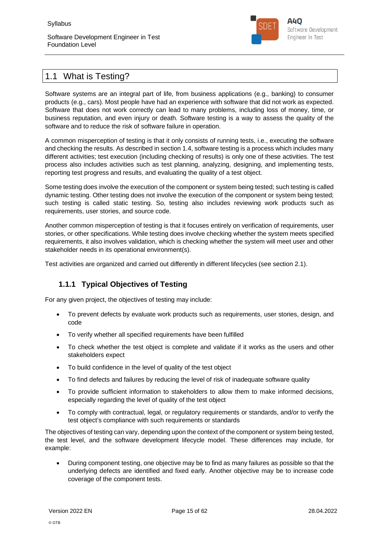

## 1.1 What is Testing?

Software systems are an integral part of life, from business applications (e.g., banking) to consumer products (e.g., cars). Most people have had an experience with software that did not work as expected. Software that does not work correctly can lead to many problems, including loss of money, time, or business reputation, and even injury or death. Software testing is a way to assess the quality of the software and to reduce the risk of software failure in operation.

A common misperception of testing is that it only consists of running tests, i.e., executing the software and checking the results. As described in section 1.4, software testing is a process which includes many different activities; test execution (including checking of results) is only one of these activities. The test process also includes activities such as test planning, analyzing, designing, and implementing tests, reporting test progress and results, and evaluating the quality of a test object.

Some testing does involve the execution of the component or system being tested; such testing is called dynamic testing. Other testing does not involve the execution of the component or system being tested; such testing is called static testing. So, testing also includes reviewing work products such as requirements, user stories, and source code.

Another common misperception of testing is that it focuses entirely on verification of requirements, user stories, or other specifications. While testing does involve checking whether the system meets specified requirements, it also involves validation, which is checking whether the system will meet user and other stakeholder needs in its operational environment(s).

Test activities are organized and carried out differently in different lifecycles (see section 2.1).

## **1.1.1 Typical Objectives of Testing**

For any given project, the objectives of testing may include:

- To prevent defects by evaluate work products such as requirements, user stories, design, and code
- To verify whether all specified requirements have been fulfilled
- To check whether the test object is complete and validate if it works as the users and other stakeholders expect
- To build confidence in the level of quality of the test object
- To find defects and failures by reducing the level of risk of inadequate software quality
- To provide sufficient information to stakeholders to allow them to make informed decisions, especially regarding the level of quality of the test object
- To comply with contractual, legal, or regulatory requirements or standards, and/or to verify the test object's compliance with such requirements or standards

The objectives of testing can vary, depending upon the context of the component or system being tested, the test level, and the software development lifecycle model. These differences may include, for example:

 During component testing, one objective may be to find as many failures as possible so that the underlying defects are identified and fixed early. Another objective may be to increase code coverage of the component tests.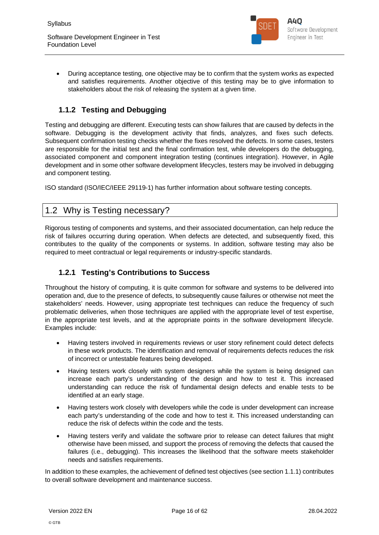

 During acceptance testing, one objective may be to confirm that the system works as expected and satisfies requirements. Another objective of this testing may be to give information to stakeholders about the risk of releasing the system at a given time.

## **1.1.2 Testing and Debugging**

Testing and debugging are different. Executing tests can show failures that are caused by defects in the software. Debugging is the development activity that finds, analyzes, and fixes such defects. Subsequent confirmation testing checks whether the fixes resolved the defects. In some cases, testers are responsible for the initial test and the final confirmation test, while developers do the debugging, associated component and component integration testing (continues integration). However, in Agile development and in some other software development lifecycles, testers may be involved in debugging and component testing.

ISO standard (ISO/IEC/IEEE 29119-1) has further information about software testing concepts.

## 1.2 Why is Testing necessary?

Rigorous testing of components and systems, and their associated documentation, can help reduce the risk of failures occurring during operation. When defects are detected, and subsequently fixed, this contributes to the quality of the components or systems. In addition, software testing may also be required to meet contractual or legal requirements or industry-specific standards.

## **1.2.1 Testing's Contributions to Success**

Throughout the history of computing, it is quite common for software and systems to be delivered into operation and, due to the presence of defects, to subsequently cause failures or otherwise not meet the stakeholders' needs. However, using appropriate test techniques can reduce the frequency of such problematic deliveries, when those techniques are applied with the appropriate level of test expertise, in the appropriate test levels, and at the appropriate points in the software development lifecycle. Examples include:

- Having testers involved in requirements reviews or user story refinement could detect defects in these work products. The identification and removal of requirements defects reduces the risk of incorrect or untestable features being developed.
- Having testers work closely with system designers while the system is being designed can increase each party's understanding of the design and how to test it. This increased understanding can reduce the risk of fundamental design defects and enable tests to be identified at an early stage.
- Having testers work closely with developers while the code is under development can increase each party's understanding of the code and how to test it. This increased understanding can reduce the risk of defects within the code and the tests.
- Having testers verify and validate the software prior to release can detect failures that might otherwise have been missed, and support the process of removing the defects that caused the failures (i.e., debugging). This increases the likelihood that the software meets stakeholder needs and satisfies requirements.

In addition to these examples, the achievement of defined test objectives (see section 1.1.1) contributes to overall software development and maintenance success.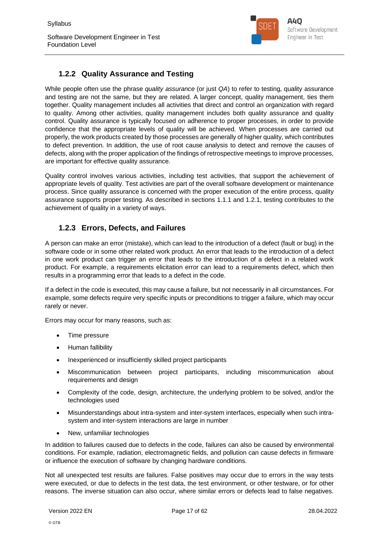Software Development Engineer in Test Foundation Level



## **1.2.2 Quality Assurance and Testing**

While people often use the phrase *quality assurance* (or just *QA*) to refer to testing, quality assurance and testing are not the same, but they are related. A larger concept, quality management, ties them together. Quality management includes all activities that direct and control an organization with regard to quality. Among other activities, quality management includes both quality assurance and quality control. Quality assurance is typically focused on adherence to proper processes, in order to provide confidence that the appropriate levels of quality will be achieved. When processes are carried out properly, the work products created by those processes are generally of higher quality, which contributes to defect prevention. In addition, the use of root cause analysis to detect and remove the causes of defects, along with the proper application of the findings of retrospective meetings to improve processes, are important for effective quality assurance.

Quality control involves various activities, including test activities, that support the achievement of appropriate levels of quality. Test activities are part of the overall software development or maintenance process. Since quality assurance is concerned with the proper execution of the entire process, quality assurance supports proper testing. As described in sections 1.1.1 and 1.2.1, testing contributes to the achievement of quality in a variety of ways.

## **1.2.3 Errors, Defects, and Failures**

A person can make an error (mistake), which can lead to the introduction of a defect (fault or bug) in the software code or in some other related work product. An error that leads to the introduction of a defect in one work product can trigger an error that leads to the introduction of a defect in a related work product. For example, a requirements elicitation error can lead to a requirements defect, which then results in a programming error that leads to a defect in the code.

If a defect in the code is executed, this may cause a failure, but not necessarily in all circumstances. For example, some defects require very specific inputs or preconditions to trigger a failure, which may occur rarely or never.

Errors may occur for many reasons, such as:

- Time pressure
- Human fallibility
- Inexperienced or insufficiently skilled project participants
- Miscommunication between project participants, including miscommunication about requirements and design
- Complexity of the code, design, architecture, the underlying problem to be solved, and/or the technologies used
- Misunderstandings about intra-system and inter-system interfaces, especially when such intrasystem and inter-system interactions are large in number
- New, unfamiliar technologies

In addition to failures caused due to defects in the code, failures can also be caused by environmental conditions. For example, radiation, electromagnetic fields, and pollution can cause defects in firmware or influence the execution of software by changing hardware conditions.

Not all unexpected test results are failures. False positives may occur due to errors in the way tests were executed, or due to defects in the test data, the test environment, or other testware, or for other reasons. The inverse situation can also occur, where similar errors or defects lead to false negatives.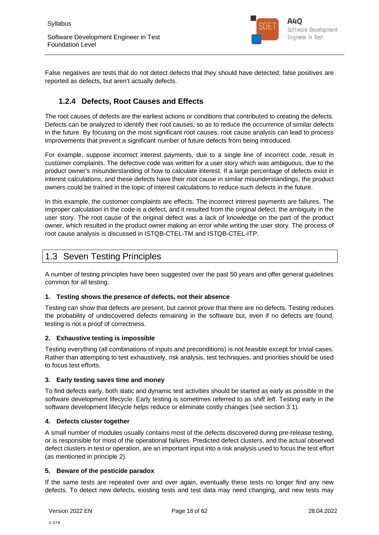

False negatives are tests that do not detect defects that they should have detected; false positives are reported as defects, but aren't actually defects.

## **1.2.4 Defects, Root Causes and Effects**

The root causes of defects are the earliest actions or conditions that contributed to creating the defects. Defects can be analyzed to identify their root causes, so as to reduce the occurrence of similar defects in the future. By focusing on the most significant root causes, root cause analysis can lead to process improvements that prevent a significant number of future defects from being introduced.

For example, suppose incorrect interest payments, due to a single line of incorrect code, result in customer complaints. The defective code was written for a user story which was ambiguous, due to the product owner's misunderstanding of how to calculate interest. If a large percentage of defects exist in interest calculations, and these defects have their root cause in similar misunderstandings, the product owners could be trained in the topic of interest calculations to reduce such defects in the future.

In this example, the customer complaints are effects. The incorrect interest payments are failures. The improper calculation in the code is a defect, and it resulted from the original defect, the ambiguity in the user story. The root cause of the original defect was a lack of knowledge on the part of the product owner, which resulted in the product owner making an error while writing the user story. The process of root cause analysis is discussed in ISTQB-CTEL-TM and ISTQB-CTEL-ITP.

## 1.3 Seven Testing Principles

A number of testing principles have been suggested over the past 50 years and offer general guidelines common for all testing.

#### **1. Testing shows the presence of defects, not their absence**

Testing can show that defects are present, but cannot prove that there are no defects. Testing reduces the probability of undiscovered defects remaining in the software but, even if no defects are found, testing is not a proof of correctness.

#### **2. Exhaustive testing is impossible**

Testing everything (all combinations of inputs and preconditions) is not feasible except for trivial cases. Rather than attempting to test exhaustively, risk analysis, test techniques, and priorities should be used to focus test efforts.

#### **3. Early testing saves time and money**

To find defects early, both static and dynamic test activities should be started as early as possible in the software development lifecycle. Early testing is sometimes referred to as *shift left*. Testing early in the software development lifecycle helps reduce or eliminate costly changes (see section 3.1).

#### **4. Defects cluster together**

A small number of modules usually contains most of the defects discovered during pre-release testing, or is responsible for most of the operational failures. Predicted defect clusters, and the actual observed defect clusters in test or operation, are an important input into a risk analysis used to focus the test effort (as mentioned in principle 2).

#### **5. Beware of the pesticide paradox**

If the same tests are repeated over and over again, eventually these tests no longer find any new defects. To detect new defects, existing tests and test data may need changing, and new tests may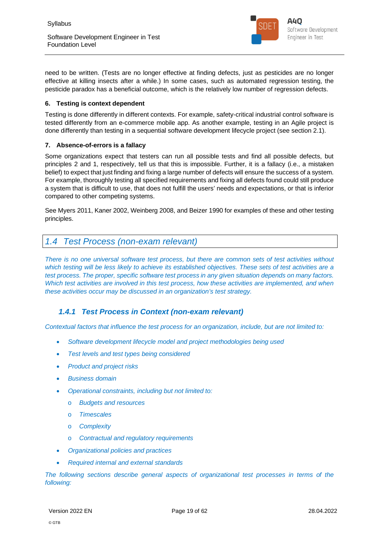

need to be written. (Tests are no longer effective at finding defects, just as pesticides are no longer effective at killing insects after a while.) In some cases, such as automated regression testing, the pesticide paradox has a beneficial outcome, which is the relatively low number of regression defects.

#### **6. Testing is context dependent**

Testing is done differently in different contexts. For example, safety-critical industrial control software is tested differently from an e-commerce mobile app. As another example, testing in an Agile project is done differently than testing in a sequential software development lifecycle project (see section 2.1).

#### **7. Absence-of-errors is a fallacy**

Some organizations expect that testers can run all possible tests and find all possible defects, but principles 2 and 1, respectively, tell us that this is impossible. Further, it is a fallacy (i.e., a mistaken belief) to expect that just finding and fixing a large number of defects will ensure the success of a system. For example, thoroughly testing all specified requirements and fixing all defects found could still produce a system that is difficult to use, that does not fulfill the users' needs and expectations, or that is inferior compared to other competing systems.

See Myers 2011, Kaner 2002, Weinberg 2008, and Beizer 1990 for examples of these and other testing principles.

## *1.4 Test Process (non-exam relevant)*

*There is no one universal software test process, but there are common sets of test activities without which testing will be less likely to achieve its established objectives. These sets of test activities are a test process. The proper, specific software test process in any given situation depends on many factors. Which test activities are involved in this test process, how these activities are implemented, and when these activities occur may be discussed in an organization's test strategy.*

### *1.4.1 Test Process in Context (non-exam relevant)*

*Contextual factors that influence the test process for an organization, include, but are not limited to:*

- *Software development lifecycle model and project methodologies being used*
- *Test levels and test types being considered*
- *Product and project risks*
- *Business domain*
- *Operational constraints, including but not limited to:*
	- o *Budgets and resources*
	- o *Timescales*
	- o *Complexity*
	- o *Contractual and regulatory requirements*
- *Organizational policies and practices*
- *Required internal and external standards*

*The following sections describe general aspects of organizational test processes in terms of the following:*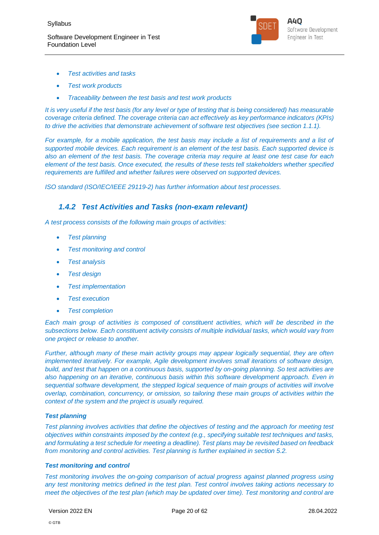

- *Test activities and tasks*
- *Test work products*
- *Traceability between the test basis and test work products*

*It is very useful if the test basis (for any level or type of testing that is being considered) has measurable coverage criteria defined. The coverage criteria can act effectively as key performance indicators (KPIs) to drive the activities that demonstrate achievement of software test objectives (see section 1.1.1).*

*For example, for a mobile application, the test basis may include a list of requirements and a list of supported mobile devices. Each requirement is an element of the test basis. Each supported device is also an element of the test basis. The coverage criteria may require at least one test case for each element of the test basis. Once executed, the results of these tests tell stakeholders whether specified requirements are fulfilled and whether failures were observed on supported devices.*

*ISO standard (ISO/IEC/IEEE 29119-2) has further information about test processes.*

### *1.4.2 Test Activities and Tasks (non-exam relevant)*

*A test process consists of the following main groups of activities:*

- *Test planning*
- *Test monitoring and control*
- *Test analysis*
- *Test design*
- *Test implementation*
- *Test execution*
- *Test completion*

*Each main group of activities is composed of constituent activities, which will be described in the subsections below. Each constituent activity consists of multiple individual tasks, which would vary from one project or release to another.*

*Further, although many of these main activity groups may appear logically sequential, they are often implemented iteratively. For example, Agile development involves small iterations of software design, build, and test that happen on a continuous basis, supported by on-going planning. So test activities are also happening on an iterative, continuous basis within this software development approach. Even in sequential software development, the stepped logical sequence of main groups of activities will involve overlap, combination, concurrency, or omission, so tailoring these main groups of activities within the context of the system and the project is usually required.*

#### *Test planning*

*Test planning involves activities that define the objectives of testing and the approach for meeting test objectives within constraints imposed by the context (e.g., specifying suitable test techniques and tasks, and formulating a test schedule for meeting a deadline). Test plans may be revisited based on feedback from monitoring and control activities. Test planning is further explained in section 5.2.*

#### *Test monitoring and control*

*Test monitoring involves the on-going comparison of actual progress against planned progress using any test monitoring metrics defined in the test plan. Test control involves taking actions necessary to meet the objectives of the test plan (which may be updated over time). Test monitoring and control are*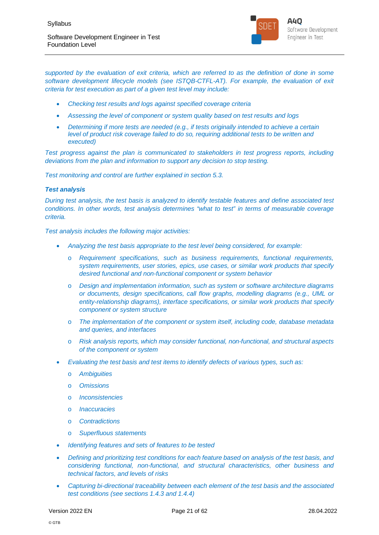

*supported by the evaluation of exit criteria, which are referred to as the definition of done in some software development lifecycle models (see ISTQB-CTFL-AT). For example, the evaluation of exit criteria for test execution as part of a given test level may include:*

- *Checking test results and logs against specified coverage criteria*
- *Assessing the level of component or system quality based on test results and logs*
- *Determining if more tests are needed (e.g., if tests originally intended to achieve a certain level of product risk coverage failed to do so, requiring additional tests to be written and executed)*

*Test progress against the plan is communicated to stakeholders in test progress reports, including deviations from the plan and information to support any decision to stop testing.*

*Test monitoring and control are further explained in section 5.3.*

#### *Test analysis*

*During test analysis, the test basis is analyzed to identify testable features and define associated test conditions. In other words, test analysis determines "what to test" in terms of measurable coverage criteria.*

*Test analysis includes the following major activities:*

- *Analyzing the test basis appropriate to the test level being considered, for example:*
	- o *Requirement specifications, such as business requirements, functional requirements, system requirements, user stories, epics, use cases, or similar work products that specify desired functional and non-functional component or system behavior*
	- o *Design and implementation information, such as system or software architecture diagrams or documents, design specifications, call flow graphs, modelling diagrams (e.g., UML or entity-relationship diagrams), interface specifications, or similar work products that specify component or system structure*
	- o *The implementation of the component or system itself, including code, database metadata and queries, and interfaces*
	- o *Risk analysis reports, which may consider functional, non-functional, and structural aspects of the component or system*
- *Evaluating the test basis and test items to identify defects of various types, such as:*
	- o *Ambiguities*
	- o *Omissions*
	- o *Inconsistencies*
	- o *Inaccuracies*
	- o *Contradictions*
	- o *Superfluous statements*
- *Identifying features and sets of features to be tested*
- *Defining and prioritizing test conditions for each feature based on analysis of the test basis, and considering functional, non-functional, and structural characteristics, other business and technical factors, and levels of risks*
- *Capturing bi-directional traceability between each element of the test basis and the associated test conditions (see sections 1.4.3 and 1.4.4)*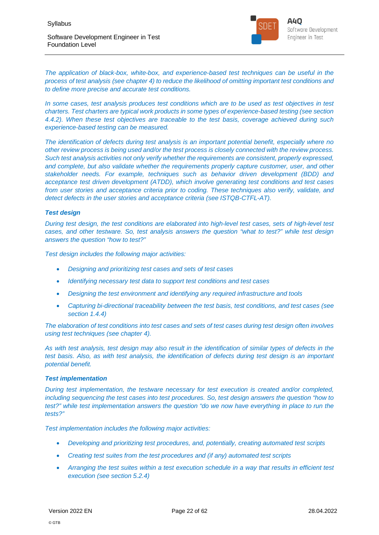

**A40** Software Development Engineer in Test

*The application of black-box, white-box, and experience-based test techniques can be useful in the process of test analysis (see chapter 4) to reduce the likelihood of omitting important test conditions and to define more precise and accurate test conditions.*

*In some cases, test analysis produces test conditions which are to be used as test objectives in test charters. Test charters are typical work products in some types of experience-based testing (see section 4.4.2). When these test objectives are traceable to the test basis, coverage achieved during such experience-based testing can be measured.*

*The identification of defects during test analysis is an important potential benefit, especially where no other review process is being used and/or the test process is closely connected with the review process. Such test analysis activities not only verify whether the requirements are consistent, properly expressed, and complete, but also validate whether the requirements properly capture customer, user, and other stakeholder needs. For example, techniques such as behavior driven development (BDD) and acceptance test driven development (ATDD), which involve generating test conditions and test cases from user stories and acceptance criteria prior to coding. These techniques also verify, validate, and detect defects in the user stories and acceptance criteria (see ISTQB-CTFL-AT).*

#### *Test design*

*During test design, the test conditions are elaborated into high-level test cases, sets of high-level test cases, and other testware. So, test analysis answers the question "what to test?" while test design answers the question "how to test?"*

*Test design includes the following major activities:*

- *Designing and prioritizing test cases and sets of test cases*
- *Identifying necessary test data to support test conditions and test cases*
- *Designing the test environment and identifying any required infrastructure and tools*
- *Capturing bi-directional traceability between the test basis, test conditions, and test cases (see section 1.4.4)*

*The elaboration of test conditions into test cases and sets of test cases during test design often involves using test techniques (see chapter 4).*

*As with test analysis, test design may also result in the identification of similar types of defects in the test basis. Also, as with test analysis, the identification of defects during test design is an important potential benefit.*

#### *Test implementation*

*During test implementation, the testware necessary for test execution is created and/or completed, including sequencing the test cases into test procedures. So, test design answers the question "how to test?" while test implementation answers the question "do we now have everything in place to run the tests?"*

*Test implementation includes the following major activities:*

- *Developing and prioritizing test procedures, and, potentially, creating automated test scripts*
- *Creating test suites from the test procedures and (if any) automated test scripts*
- *Arranging the test suites within a test execution schedule in a way that results in efficient test execution (see section 5.2.4)*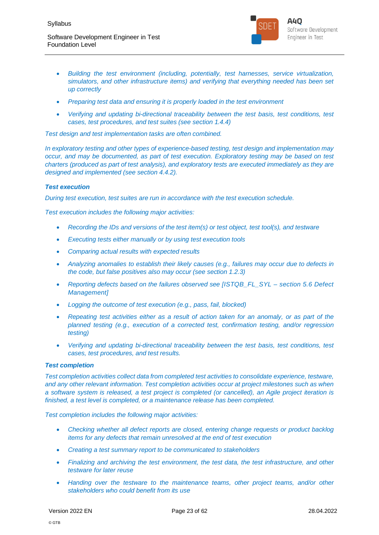

- *Building the test environment (including, potentially, test harnesses, service virtualization, simulators, and other infrastructure items) and verifying that everything needed has been set up correctly*
- *Preparing test data and ensuring it is properly loaded in the test environment*
- *Verifying and updating bi-directional traceability between the test basis, test conditions, test cases, test procedures, and test suites (see section 1.4.4)*

*Test design and test implementation tasks are often combined.*

*In exploratory testing and other types of experience-based testing, test design and implementation may occur, and may be documented, as part of test execution. Exploratory testing may be based on test charters (produced as part of test analysis), and exploratory tests are executed immediately as they are designed and implemented (see section 4.4.2).*

#### *Test execution*

*During test execution, test suites are run in accordance with the test execution schedule.*

*Test execution includes the following major activities:*

- *Recording the IDs and versions of the test item(s) or test object, test tool(s), and testware*
- *Executing tests either manually or by using test execution tools*
- *Comparing actual results with expected results*
- *Analyzing anomalies to establish their likely causes (e.g., failures may occur due to defects in the code, but false positives also may occur (see section 1.2.3)*
- *Reporting defects based on the failures observed see [ISTQB\_FL\_SYL section 5.6 Defect Management]*
- *Logging the outcome of test execution (e.g., pass, fail, blocked)*
- *Repeating test activities either as a result of action taken for an anomaly, or as part of the planned testing (e.g., execution of a corrected test, confirmation testing, and/or regression testing)*
- *Verifying and updating bi-directional traceability between the test basis, test conditions, test cases, test procedures, and test results.*

#### *Test completion*

*Test completion activities collect data from completed test activities to consolidate experience, testware, and any other relevant information. Test completion activities occur at project milestones such as when a software system is released, a test project is completed (or cancelled), an Agile project iteration is finished, a test level is completed, or a maintenance release has been completed.*

#### *Test completion includes the following major activities:*

- *Checking whether all defect reports are closed, entering change requests or product backlog items for any defects that remain unresolved at the end of test execution*
- *Creating a test summary report to be communicated to stakeholders*
- *Finalizing and archiving the test environment, the test data, the test infrastructure, and other testware for later reuse*
- *Handing over the testware to the maintenance teams, other project teams, and/or other stakeholders who could benefit from its use*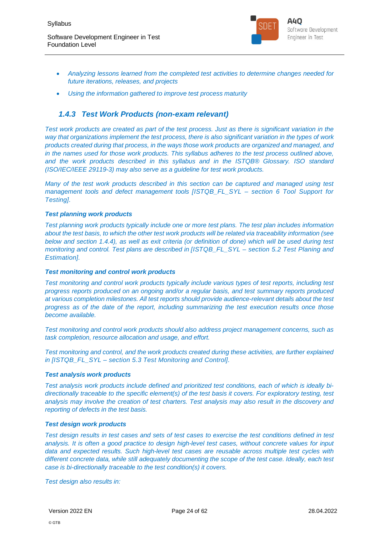Foundation Level



- *Analyzing lessons learned from the completed test activities to determine changes needed for future iterations, releases, and projects*
- *Using the information gathered to improve test process maturity*

## *1.4.3 Test Work Products (non-exam relevant)*

*Test work products are created as part of the test process. Just as there is significant variation in the way that organizations implement the test process, there is also significant variation in the types of work products created during that process, in the ways those work products are organized and managed, and in the names used for those work products. This syllabus adheres to the test process outlined above, and the work products described in this syllabus and in the ISTQB® Glossary. ISO standard (ISO/IEC/IEEE 29119-3) may also serve as a guideline for test work products.*

*Many of the test work products described in this section can be captured and managed using test management tools and defect management tools [ISTQB\_FL\_SYL – section 6 Tool Support for Testing].*

#### *Test planning work products*

*Test planning work products typically include one or more test plans. The test plan includes information about the test basis, to which the other test work products will be related via traceability information (see below and section 1.4.4), as well as exit criteria (or definition of done) which will be used during test monitoring and control. Test plans are described in [ISTQB\_FL\_SYL – section 5.2 Test Planing and Estimation].*

#### *Test monitoring and control work products*

*Test monitoring and control work products typically include various types of test reports, including test progress reports produced on an ongoing and/or a regular basis, and test summary reports produced at various completion milestones. All test reports should provide audience-relevant details about the test progress as of the date of the report, including summarizing the test execution results once those become available.*

*Test monitoring and control work products should also address project management concerns, such as task completion, resource allocation and usage, and effort.*

*Test monitoring and control, and the work products created during these activities, are further explained in [ISTQB\_FL\_SYL – section 5.3 Test Monitoring and Control].*

#### *Test analysis work products*

*Test analysis work products include defined and prioritized test conditions, each of which is ideally bidirectionally traceable to the specific element(s) of the test basis it covers. For exploratory testing, test analysis may involve the creation of test charters. Test analysis may also result in the discovery and reporting of defects in the test basis.*

#### *Test design work products*

*Test design results in test cases and sets of test cases to exercise the test conditions defined in test analysis. It is often a good practice to design high-level test cases, without concrete values for input data and expected results. Such high-level test cases are reusable across multiple test cycles with different concrete data, while still adequately documenting the scope of the test case. Ideally, each test case is bi-directionally traceable to the test condition(s) it covers.*

*Test design also results in:*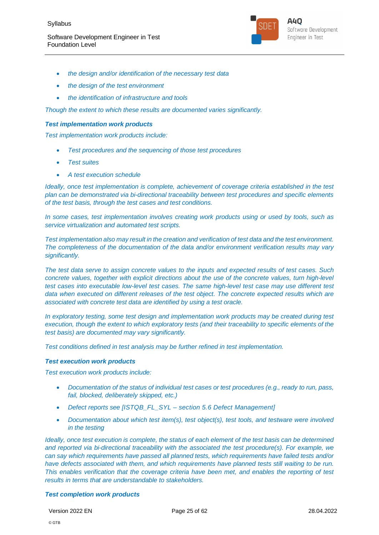

- *the design and/or identification of the necessary test data*
- *the design of the test environment*
- *the identification of infrastructure and tools*

*Though the extent to which these results are documented varies significantly.*

#### *Test implementation work products*

*Test implementation work products include:*

- *Test procedures and the sequencing of those test procedures*
- *Test suites*
- *A test execution schedule*

*Ideally, once test implementation is complete, achievement of coverage criteria established in the test plan can be demonstrated via bi-directional traceability between test procedures and specific elements of the test basis, through the test cases and test conditions.*

*In some cases, test implementation involves creating work products using or used by tools, such as service virtualization and automated test scripts.*

*Test implementation also may result in the creation and verification of test data and the test environment. The completeness of the documentation of the data and/or environment verification results may vary significantly.*

*The test data serve to assign concrete values to the inputs and expected results of test cases. Such concrete values, together with explicit directions about the use of the concrete values, turn high-level test cases into executable low-level test cases. The same high-level test case may use different test data when executed on different releases of the test object. The concrete expected results which are associated with concrete test data are identified by using a test oracle.*

*In exploratory testing, some test design and implementation work products may be created during test execution, though the extent to which exploratory tests (and their traceability to specific elements of the test basis) are documented may vary significantly.*

*Test conditions defined in test analysis may be further refined in test implementation.*

#### *Test execution work products*

*Test execution work products include:*

- *Documentation of the status of individual test cases or test procedures (e.g., ready to run, pass, fail, blocked, deliberately skipped, etc.)*
- *Defect reports see [ISTQB\_FL\_SYL section 5.6 Defect Management]*
- *Documentation about which test item(s), test object(s), test tools, and testware were involved in the testing*

*Ideally, once test execution is complete, the status of each element of the test basis can be determined and reported via bi-directional traceability with the associated the test procedure(s). For example, we can say which requirements have passed all planned tests, which requirements have failed tests and/or have defects associated with them, and which requirements have planned tests still waiting to be run. This enables verification that the coverage criteria have been met, and enables the reporting of test results in terms that are understandable to stakeholders.*

#### *Test completion work products*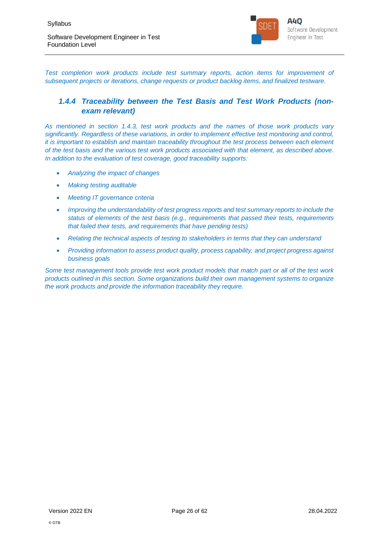

*Test completion work products include test summary reports, action items for improvement of subsequent projects or iterations, change requests or product backlog items, and finalized testware.*

## *1.4.4 Traceability between the Test Basis and Test Work Products (nonexam relevant)*

*As mentioned in section 1.4.3, test work products and the names of those work products vary significantly. Regardless of these variations, in order to implement effective test monitoring and control, it is important to establish and maintain traceability throughout the test process between each element of the test basis and the various test work products associated with that element, as described above. In addition to the evaluation of test coverage, good traceability supports:*

- *Analyzing the impact of changes*
- *Making testing auditable*
- *Meeting IT governance criteria*
- *Improving the understandability of test progress reports and test summary reports to include the status of elements of the test basis (e.g., requirements that passed their tests, requirements that failed their tests, and requirements that have pending tests)*
- *Relating the technical aspects of testing to stakeholders in terms that they can understand*
- *Providing information to assess product quality, process capability, and project progress against business goals*

*Some test management tools provide test work product models that match part or all of the test work products outlined in this section. Some organizations build their own management systems to organize the work products and provide the information traceability they require.*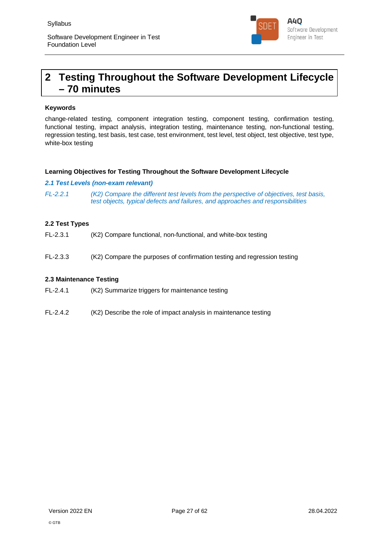

## **2 Testing Throughout the Software Development Lifecycle – 70 minutes**

#### **Keywords**

change-related testing, component integration testing, component testing, confirmation testing, functional testing, impact analysis, integration testing, maintenance testing, non-functional testing, regression testing, test basis, test case, test environment, test level, test object, test objective, test type, white-box testing

#### **Learning Objectives for Testing Throughout the Software Development Lifecycle**

#### *2.1 Test Levels (non-exam relevant)*

*FL-2.2.1 (K2) Compare the different test levels from the perspective of objectives, test basis, test objects, typical defects and failures, and approaches and responsibilities*

#### **2.2 Test Types**

- FL-2.3.1 (K2) Compare functional, non-functional, and white-box testing
- FL-2.3.3 (K2) Compare the purposes of confirmation testing and regression testing

#### **2.3 Maintenance Testing**

FL-2.4.1 (K2) Summarize triggers for maintenance testing

FL-2.4.2 (K2) Describe the role of impact analysis in maintenance testing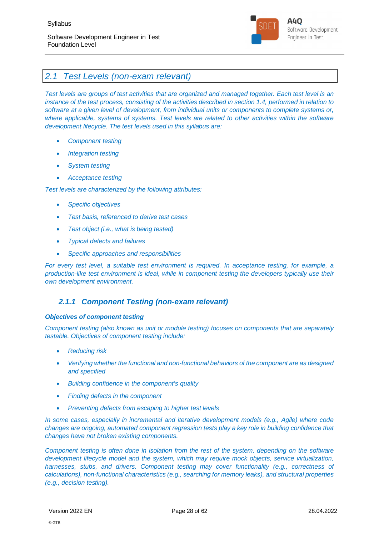

## *2.1 Test Levels (non-exam relevant)*

*Test levels are groups of test activities that are organized and managed together. Each test level is an instance of the test process, consisting of the activities described in section 1.4, performed in relation to software at a given level of development, from individual units or components to complete systems or, where applicable, systems of systems. Test levels are related to other activities within the software development lifecycle. The test levels used in this syllabus are:*

- *Component testing*
- *Integration testing*
- *System testing*
- *Acceptance testing*

*Test levels are characterized by the following attributes:*

- *Specific objectives*
- *Test basis, referenced to derive test cases*
- *Test object (i.e., what is being tested)*
- *Typical defects and failures*
- *Specific approaches and responsibilities*

*For every test level, a suitable test environment is required. In acceptance testing, for example, a production-like test environment is ideal, while in component testing the developers typically use their own development environment.*

### *2.1.1 Component Testing (non-exam relevant)*

#### *Objectives of component testing*

*Component testing (also known as unit or module testing) focuses on components that are separately testable. Objectives of component testing include:*

- *Reducing risk*
- *Verifying whether the functional and non-functional behaviors of the component are as designed and specified*
- *Building confidence in the component's quality*
- *Finding defects in the component*
- *Preventing defects from escaping to higher test levels*

*In some cases, especially in incremental and iterative development models (e.g., Agile) where code changes are ongoing, automated component regression tests play a key role in building confidence that changes have not broken existing components.*

*Component testing is often done in isolation from the rest of the system, depending on the software development lifecycle model and the system, which may require mock objects, service virtualization, harnesses, stubs, and drivers. Component testing may cover functionality (e.g., correctness of calculations), non-functional characteristics (e.g., searching for memory leaks), and structural properties (e.g., decision testing).*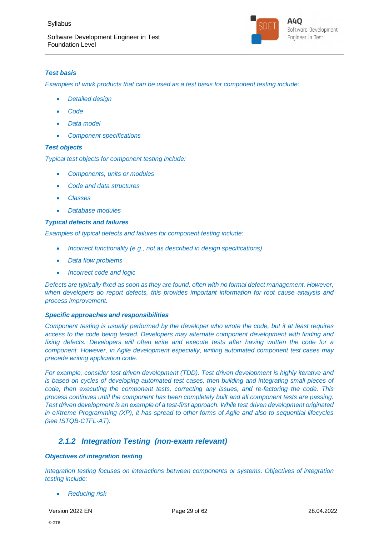

#### *Test basis*

*Examples of work products that can be used as a test basis for component testing include:*

- *Detailed design*
- *Code*
- *Data model*
- *Component specifications*

#### *Test objects*

*Typical test objects for component testing include:*

- *Components, units or modules*
- *Code and data structures*
- *Classes*
- *Database modules*

#### *Typical defects and failures*

*Examples of typical defects and failures for component testing include:*

- *Incorrect functionality (e.g., not as described in design specifications)*
- *Data flow problems*
- *Incorrect code and logic*

*Defects are typically fixed as soon as they are found, often with no formal defect management. However, when developers do report defects, this provides important information for root cause analysis and process improvement.*

#### *Specific approaches and responsibilities*

*Component testing is usually performed by the developer who wrote the code, but it at least requires access to the code being tested. Developers may alternate component development with finding and fixing defects. Developers will often write and execute tests after having written the code for a component. However, in Agile development especially, writing automated component test cases may precede writing application code.*

*For example, consider test driven development (TDD). Test driven development is highly iterative and is based on cycles of developing automated test cases, then building and integrating small pieces of code, then executing the component tests, correcting any issues, and re-factoring the code. This process continues until the component has been completely built and all component tests are passing. Test driven development is an example of a test-first approach. While test driven development originated in eXtreme Programming (XP), it has spread to other forms of Agile and also to sequential lifecycles (see ISTQB-CTFL-AT).*

### *2.1.2 Integration Testing (non-exam relevant)*

#### *Objectives of integration testing*

*Integration testing focuses on interactions between components or systems. Objectives of integration testing include:*

*Reducing risk*

Version 2022 EN Page 29 of 62 28.04.2022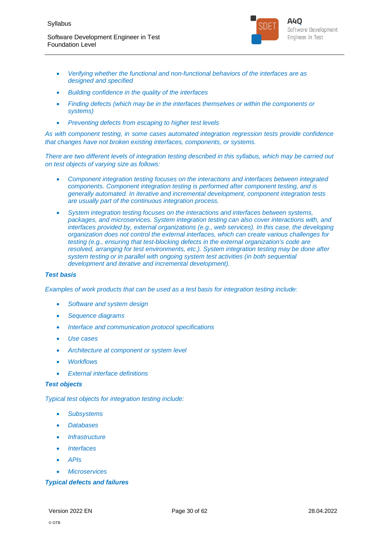

- *Verifying whether the functional and non-functional behaviors of the interfaces are as designed and specified*
- *Building confidence in the quality of the interfaces*
- *Finding defects (which may be in the interfaces themselves or within the components or systems)*
- *Preventing defects from escaping to higher test levels*

*As with component testing, in some cases automated integration regression tests provide confidence that changes have not broken existing interfaces, components, or systems.*

*There are two different levels of integration testing described in this syllabus, which may be carried out on test objects of varying size as follows:*

- *Component integration testing focuses on the interactions and interfaces between integrated components. Component integration testing is performed after component testing, and is generally automated. In iterative and incremental development, component integration tests are usually part of the continuous integration process.*
- *System integration testing focuses on the interactions and interfaces between systems, packages, and microservices. System integration testing can also cover interactions with, and interfaces provided by, external organizations (e.g., web services). In this case, the developing organization does not control the external interfaces, which can create various challenges for testing (e.g., ensuring that test-blocking defects in the external organization's code are resolved, arranging for test environments, etc.). System integration testing may be done after system testing or in parallel with ongoing system test activities (in both sequential development and iterative and incremental development).*

#### *Test basis*

*Examples of work products that can be used as a test basis for integration testing include:*

- *Software and system design*
- *Sequence diagrams*
- *Interface and communication protocol specifications*
- *Use cases*
- *Architecture at component or system level*
- *Workflows*
- *External interface definitions*

#### *Test objects*

*Typical test objects for integration testing include:*

- *Subsystems*
- *Databases*
- *Infrastructure*
- *Interfaces*
- *APIs*
- *Microservices*

#### *Typical defects and failures*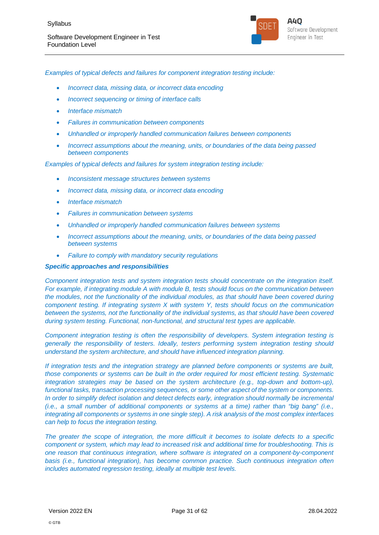

*Examples of typical defects and failures for component integration testing include:*

- *Incorrect data, missing data, or incorrect data encoding*
- *Incorrect sequencing or timing of interface calls*
- *Interface mismatch*
- *Failures in communication between components*
- *Unhandled or improperly handled communication failures between components*
- *Incorrect assumptions about the meaning, units, or boundaries of the data being passed between components*

*Examples of typical defects and failures for system integration testing include:*

- *Inconsistent message structures between systems*
- *Incorrect data, missing data, or incorrect data encoding*
- *Interface mismatch*
- *Failures in communication between systems*
- *Unhandled or improperly handled communication failures between systems*
- *Incorrect assumptions about the meaning, units, or boundaries of the data being passed between systems*
- *Failure to comply with mandatory security regulations*

#### *Specific approaches and responsibilities*

*Component integration tests and system integration tests should concentrate on the integration itself. For example, if integrating module A with module B, tests should focus on the communication between the modules, not the functionality of the individual modules, as that should have been covered during component testing. If integrating system X with system Y, tests should focus on the communication between the systems, not the functionality of the individual systems, as that should have been covered during system testing. Functional, non-functional, and structural test types are applicable.*

*Component integration testing is often the responsibility of developers. System integration testing is generally the responsibility of testers. Ideally, testers performing system integration testing should understand the system architecture, and should have influenced integration planning.*

*If integration tests and the integration strategy are planned before components or systems are built, those components or systems can be built in the order required for most efficient testing. Systematic integration strategies may be based on the system architecture (e.g., top-down and bottom-up), functional tasks, transaction processing sequences, or some other aspect of the system or components. In order to simplify defect isolation and detect defects early, integration should normally be incremental (i.e., a small number of additional components or systems at a time) rather than "big bang" (i.e., integrating all components or systems in one single step). A risk analysis of the most complex interfaces can help to focus the integration testing.*

*The greater the scope of integration, the more difficult it becomes to isolate defects to a specific component or system, which may lead to increased risk and additional time for troubleshooting. This is one reason that continuous integration, where software is integrated on a component-by-component basis (i.e., functional integration), has become common practice. Such continuous integration often includes automated regression testing, ideally at multiple test levels.*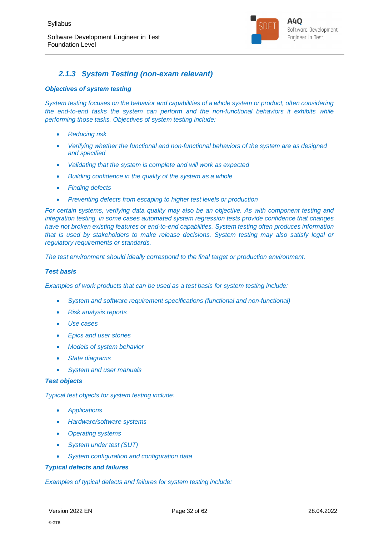

## *2.1.3 System Testing (non-exam relevant)*

#### *Objectives of system testing*

*System testing focuses on the behavior and capabilities of a whole system or product, often considering the end-to-end tasks the system can perform and the non-functional behaviors it exhibits while performing those tasks. Objectives of system testing include:*

- *Reducing risk*
- *Verifying whether the functional and non-functional behaviors of the system are as designed and specified*
- *Validating that the system is complete and will work as expected*
- *Building confidence in the quality of the system as a whole*
- *Finding defects*
- *Preventing defects from escaping to higher test levels or production*

*For certain systems, verifying data quality may also be an objective. As with component testing and integration testing, in some cases automated system regression tests provide confidence that changes have not broken existing features or end-to-end capabilities. System testing often produces information that is used by stakeholders to make release decisions. System testing may also satisfy legal or regulatory requirements or standards.*

*The test environment should ideally correspond to the final target or production environment.*

#### *Test basis*

*Examples of work products that can be used as a test basis for system testing include:*

- *System and software requirement specifications (functional and non-functional)*
- *Risk analysis reports*
- *Use cases*
- *Epics and user stories*
- *Models of system behavior*
- *State diagrams*
- *System and user manuals*

#### *Test objects*

*Typical test objects for system testing include:*

- *Applications*
- *Hardware/software systems*
- *Operating systems*
- *System under test (SUT)*
- *System configuration and configuration data*

#### *Typical defects and failures*

*Examples of typical defects and failures for system testing include:*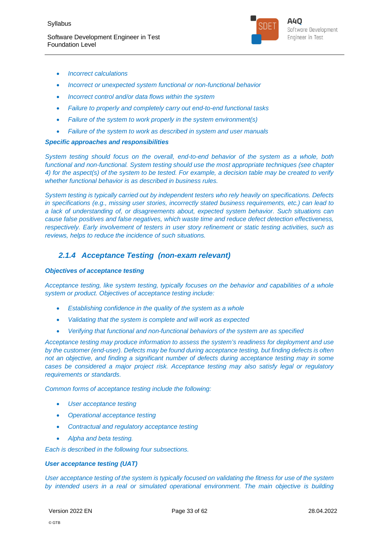

- *Incorrect calculations*
- *Incorrect or unexpected system functional or non-functional behavior*
- *Incorrect control and/or data flows within the system*
- *Failure to properly and completely carry out end-to-end functional tasks*
- *Failure of the system to work properly in the system environment(s)*
- *Failure of the system to work as described in system and user manuals*

#### *Specific approaches and responsibilities*

*System testing should focus on the overall, end-to-end behavior of the system as a whole, both functional and non-functional. System testing should use the most appropriate techniques (see chapter 4) for the aspect(s) of the system to be tested. For example, a decision table may be created to verify whether functional behavior is as described in business rules.*

*System testing is typically carried out by independent testers who rely heavily on specifications. Defects in specifications (e.g., missing user stories, incorrectly stated business requirements, etc.) can lead to a lack of understanding of, or disagreements about, expected system behavior. Such situations can cause false positives and false negatives, which waste time and reduce defect detection effectiveness, respectively. Early involvement of testers in user story refinement or static testing activities, such as reviews, helps to reduce the incidence of such situations.*

## *2.1.4 Acceptance Testing (non-exam relevant)*

#### *Objectives of acceptance testing*

*Acceptance testing, like system testing, typically focuses on the behavior and capabilities of a whole system or product. Objectives of acceptance testing include:*

- *Establishing confidence in the quality of the system as a whole*
- *Validating that the system is complete and will work as expected*
- *Verifying that functional and non-functional behaviors of the system are as specified*

*Acceptance testing may produce information to assess the system's readiness for deployment and use by the customer (end-user). Defects may be found during acceptance testing, but finding defects is often not an objective, and finding a significant number of defects during acceptance testing may in some cases be considered a major project risk. Acceptance testing may also satisfy legal or regulatory requirements or standards.*

*Common forms of acceptance testing include the following:*

- *User acceptance testing*
- *Operational acceptance testing*
- *Contractual and regulatory acceptance testing*
- *Alpha and beta testing.*

*Each is described in the following four subsections.*

#### *User acceptance testing (UAT)*

*User acceptance testing of the system is typically focused on validating the fitness for use of the system by intended users in a real or simulated operational environment. The main objective is building*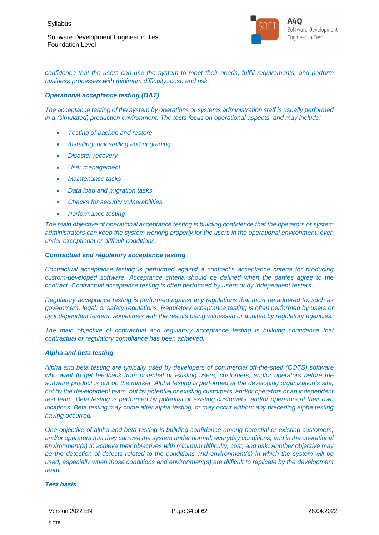

*confidence that the users can use the system to meet their needs, fulfill requirements, and perform business processes with minimum difficulty, cost, and risk.*

#### *Operational acceptance testing (OAT)*

*The acceptance testing of the system by operations or systems administration staff is usually performed in a (simulated) production environment. The tests focus on operational aspects, and may include:*

- *Testing of backup and restore*
- *Installing, uninstalling and upgrading*
- *Disaster recovery*
- *User management*
- *Maintenance tasks*
- *Data load and migration tasks*
- *Checks for security vulnerabilities*
- *Performance testing*

*The main objective of operational acceptance testing is building confidence that the operators or system administrators can keep the system working properly for the users in the operational environment, even under exceptional or difficult conditions.*

#### *Contractual and regulatory acceptance testing*

*Contractual acceptance testing is performed against a contract's acceptance criteria for producing custom-developed software. Acceptance criteria should be defined when the parties agree to the contract. Contractual acceptance testing is often performed by users or by independent testers.*

*Regulatory acceptance testing is performed against any regulations that must be adhered to, such as government, legal, or safety regulations. Regulatory acceptance testing is often performed by users or by independent testers, sometimes with the results being witnessed or audited by regulatory agencies.*

*The main objective of contractual and regulatory acceptance testing is building confidence that contractual or regulatory compliance has been achieved.*

#### *Alpha and beta testing*

*Alpha and beta testing are typically used by developers of commercial off-the-shelf (COTS) software who want to get feedback from potential or existing users, customers, and/or operators before the software product is put on the market. Alpha testing is performed at the developing organization's site, not by the development team, but by potential or existing customers, and/or operators or an independent test team. Beta testing is performed by potential or existing customers, and/or operators at their own locations. Beta testing may come after alpha testing, or may occur without any preceding alpha testing having occurred.*

*One objective of alpha and beta testing is building confidence among potential or existing customers, and/or operators that they can use the system under normal, everyday conditions, and in the operational environment(s) to achieve their objectives with minimum difficulty, cost, and risk. Another objective may be the detection of defects related to the conditions and environment(s) in which the system will be used, especially when those conditions and environment(s) are difficult to replicate by the development team.*

#### *Test basis*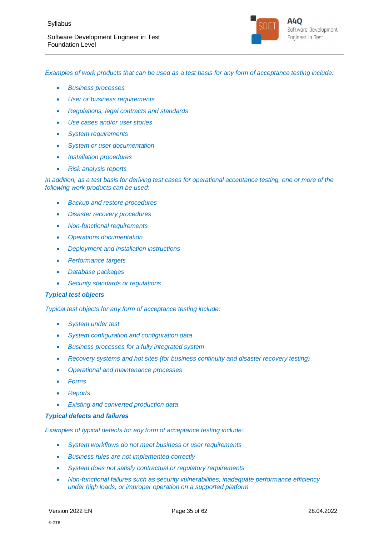

*Examples of work products that can be used as a test basis for any form of acceptance testing include:*

- *Business processes*
- *User or business requirements*
- *Regulations, legal contracts and standards*
- *Use cases and/or user stories*
- *System requirements*
- *System or user documentation*
- *Installation procedures*
- *Risk analysis reports*

*In addition, as a test basis for deriving test cases for operational acceptance testing, one or more of the following work products can be used:*

- *Backup and restore procedures*
- *Disaster recovery procedures*
- *Non-functional requirements*
- *Operations documentation*
- *Deployment and installation instructions*
- *Performance targets*
- *Database packages*
- *Security standards or regulations*

#### *Typical test objects*

*Typical test objects for any form of acceptance testing include:*

- *System under test*
- *System configuration and configuration data*
- *Business processes for a fully integrated system*
- *Recovery systems and hot sites (for business continuity and disaster recovery testing)*
- *Operational and maintenance processes*
- *Forms*
- *Reports*
- *Existing and converted production data*

#### *Typical defects and failures*

*Examples of typical defects for any form of acceptance testing include:*

- *System workflows do not meet business or user requirements*
- *Business rules are not implemented correctly*
- *System does not satisfy contractual or regulatory requirements*
- *Non-functional failures such as security vulnerabilities, inadequate performance efficiency under high loads, or improper operation on a supported platform*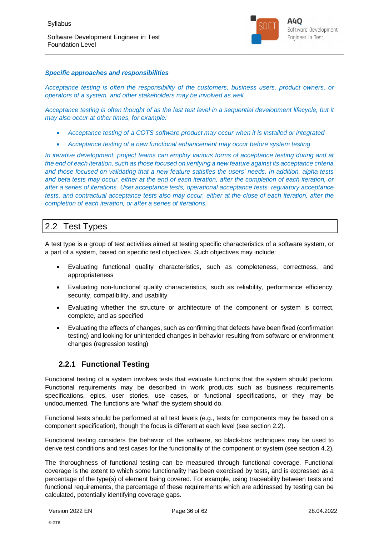

#### *Specific approaches and responsibilities*

*Acceptance testing is often the responsibility of the customers, business users, product owners, or operators of a system, and other stakeholders may be involved as well.*

*Acceptance testing is often thought of as the last test level in a sequential development lifecycle, but it may also occur at other times, for example:*

- *Acceptance testing of a COTS software product may occur when it is installed or integrated*
- *Acceptance testing of a new functional enhancement may occur before system testing*

*In iterative development, project teams can employ various forms of acceptance testing during and at the end of each iteration, such as those focused on verifying a new feature against its acceptance criteria and those focused on validating that a new feature satisfies the users' needs. In addition, alpha tests and beta tests may occur, either at the end of each iteration, after the completion of each iteration, or after a series of iterations. User acceptance tests, operational acceptance tests, regulatory acceptance tests, and contractual acceptance tests also may occur, either at the close of each iteration, after the completion of each iteration, or after a series of iterations.*

## 2.2 Test Types

A test type is a group of test activities aimed at testing specific characteristics of a software system, or a part of a system, based on specific test objectives. Such objectives may include:

- Evaluating functional quality characteristics, such as completeness, correctness, and appropriateness
- Evaluating non-functional quality characteristics, such as reliability, performance efficiency, security, compatibility, and usability
- Evaluating whether the structure or architecture of the component or system is correct, complete, and as specified
- Evaluating the effects of changes, such as confirming that defects have been fixed (confirmation testing) and looking for unintended changes in behavior resulting from software or environment changes (regression testing)

### **2.2.1 Functional Testing**

Functional testing of a system involves tests that evaluate functions that the system should perform. Functional requirements may be described in work products such as business requirements specifications, epics, user stories, use cases, or functional specifications, or they may be undocumented. The functions are "what" the system should do.

Functional tests should be performed at all test levels (e.g., tests for components may be based on a component specification), though the focus is different at each level (see section 2.2).

Functional testing considers the behavior of the software, so black-box techniques may be used to derive test conditions and test cases for the functionality of the component or system (see section 4.2).

The thoroughness of functional testing can be measured through functional coverage. Functional coverage is the extent to which some functionality has been exercised by tests, and is expressed as a percentage of the type(s) of element being covered. For example, using traceability between tests and functional requirements, the percentage of these requirements which are addressed by testing can be calculated, potentially identifying coverage gaps.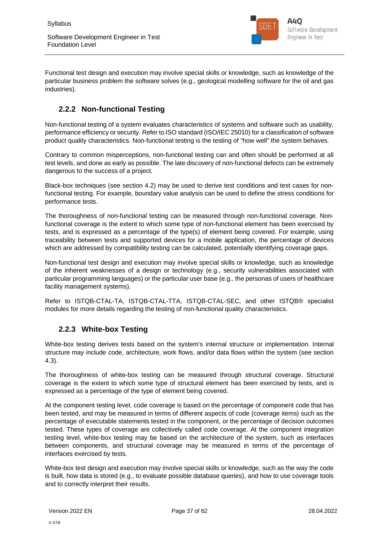

Functional test design and execution may involve special skills or knowledge, such as knowledge of the particular business problem the software solves (e.g., geological modelling software for the oil and gas industries).

## **2.2.2 Non-functional Testing**

Non-functional testing of a system evaluates characteristics of systems and software such as usability, performance efficiency or security. Refer to ISO standard (ISO/IEC 25010) for a classification of software product quality characteristics. Non-functional testing is the testing of "how well" the system behaves.

Contrary to common misperceptions, non-functional testing can and often should be performed at all test levels, and done as early as possible. The late discovery of non-functional defects can be extremely dangerous to the success of a project.

Black-box techniques (see section 4.2) may be used to derive test conditions and test cases for nonfunctional testing. For example, boundary value analysis can be used to define the stress conditions for performance tests.

The thoroughness of non-functional testing can be measured through non-functional coverage. Nonfunctional coverage is the extent to which some type of non-functional element has been exercised by tests, and is expressed as a percentage of the type(s) of element being covered. For example, using traceability between tests and supported devices for a mobile application, the percentage of devices which are addressed by compatibility testing can be calculated, potentially identifying coverage gaps.

Non-functional test design and execution may involve special skills or knowledge, such as knowledge of the inherent weaknesses of a design or technology (e.g., security vulnerabilities associated with particular programming languages) or the particular user base (e.g., the personas of users of healthcare facility management systems).

Refer to ISTQB-CTAL-TA, ISTQB-CTAL-TTA, ISTQB-CTAL-SEC, and other ISTQB® specialist modules for more details regarding the testing of non-functional quality characteristics.

## **2.2.3 White-box Testing**

White-box testing derives tests based on the system's internal structure or implementation. Internal structure may include code, architecture, work flows, and/or data flows within the system (see section 4.3).

The thoroughness of white-box testing can be measured through structural coverage. Structural coverage is the extent to which some type of structural element has been exercised by tests, and is expressed as a percentage of the type of element being covered.

At the component testing level, code coverage is based on the percentage of component code that has been tested, and may be measured in terms of different aspects of code (coverage items) such as the percentage of executable statements tested in the component, or the percentage of decision outcomes tested. These types of coverage are collectively called code coverage. At the component integration testing level, white-box testing may be based on the architecture of the system, such as interfaces between components, and structural coverage may be measured in terms of the percentage of interfaces exercised by tests.

White-box test design and execution may involve special skills or knowledge, such as the way the code is built, how data is stored (e.g., to evaluate possible database queries), and how to use coverage tools and to correctly interpret their results.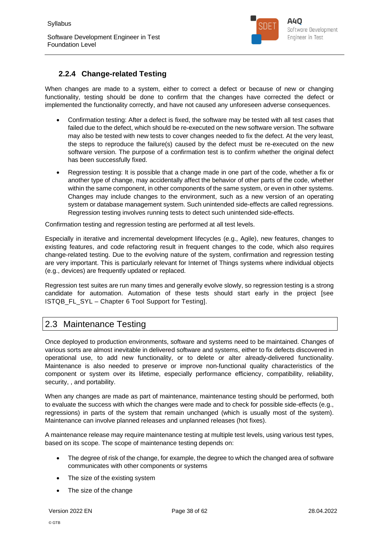

## **2.2.4 Change-related Testing**

When changes are made to a system, either to correct a defect or because of new or changing functionality, testing should be done to confirm that the changes have corrected the defect or implemented the functionality correctly, and have not caused any unforeseen adverse consequences.

- Confirmation testing: After a defect is fixed, the software may be tested with all test cases that failed due to the defect, which should be re-executed on the new software version. The software may also be tested with new tests to cover changes needed to fix the defect. At the very least, the steps to reproduce the failure(s) caused by the defect must be re-executed on the new software version. The purpose of a confirmation test is to confirm whether the original defect has been successfully fixed.
- Regression testing: It is possible that a change made in one part of the code, whether a fix or another type of change, may accidentally affect the behavior of other parts of the code, whether within the same component, in other components of the same system, or even in other systems. Changes may include changes to the environment, such as a new version of an operating system or database management system. Such unintended side-effects are called regressions. Regression testing involves running tests to detect such unintended side-effects.

Confirmation testing and regression testing are performed at all test levels.

Especially in iterative and incremental development lifecycles (e.g., Agile), new features, changes to existing features, and code refactoring result in frequent changes to the code, which also requires change-related testing. Due to the evolving nature of the system, confirmation and regression testing are very important. This is particularly relevant for Internet of Things systems where individual objects (e.g., devices) are frequently updated or replaced.

Regression test suites are run many times and generally evolve slowly, so regression testing is a strong candidate for automation. Automation of these tests should start early in the project [see ISTQB\_FL\_SYL – Chapter 6 Tool Support for Testing].

## 2.3 Maintenance Testing

Once deployed to production environments, software and systems need to be maintained. Changes of various sorts are almost inevitable in delivered software and systems, either to fix defects discovered in operational use, to add new functionality, or to delete or alter already-delivered functionality. Maintenance is also needed to preserve or improve non-functional quality characteristics of the component or system over its lifetime, especially performance efficiency, compatibility, reliability, security, , and portability.

When any changes are made as part of maintenance, maintenance testing should be performed, both to evaluate the success with which the changes were made and to check for possible side-effects (e.g., regressions) in parts of the system that remain unchanged (which is usually most of the system). Maintenance can involve planned releases and unplanned releases (hot fixes).

A maintenance release may require maintenance testing at multiple test levels, using various test types, based on its scope. The scope of maintenance testing depends on:

- The degree of risk of the change, for example, the degree to which the changed area of software communicates with other components or systems
- The size of the existing system
- The size of the change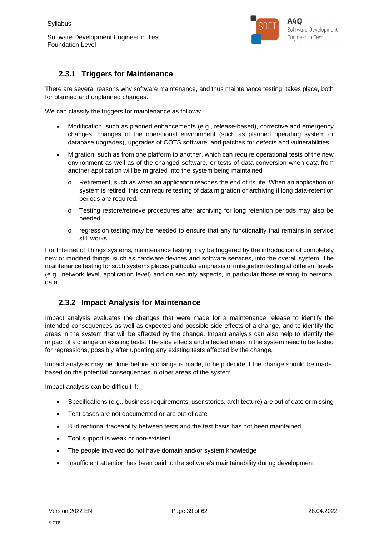

## **2.3.1 Triggers for Maintenance**

There are several reasons why software maintenance, and thus maintenance testing, takes place, both for planned and unplanned changes.

We can classify the triggers for maintenance as follows:

- Modification, such as planned enhancements (e.g., release-based), corrective and emergency changes, changes of the operational environment (such as planned operating system or database upgrades), upgrades of COTS software, and patches for defects and vulnerabilities
- Migration, such as from one platform to another, which can require operational tests of the new environment as well as of the changed software, or tests of data conversion when data from another application will be migrated into the system being maintained
	- o Retirement, such as when an application reaches the end of its life. When an application or system is retired, this can require testing of data migration or archiving if long data-retention periods are required.
	- o Testing restore/retrieve procedures after archiving for long retention periods may also be needed.
	- o regression testing may be needed to ensure that any functionality that remains in service still works.

For Internet of Things systems, maintenance testing may be triggered by the introduction of completely new or modified things, such as hardware devices and software services, into the overall system. The maintenance testing for such systems places particular emphasis on integration testing at different levels (e.g., network level, application level) and on security aspects, in particular those relating to personal data.

### **2.3.2 Impact Analysis for Maintenance**

Impact analysis evaluates the changes that were made for a maintenance release to identify the intended consequences as well as expected and possible side effects of a change, and to identify the areas in the system that will be affected by the change. Impact analysis can also help to identify the impact of a change on existing tests. The side effects and affected areas in the system need to be tested for regressions, possibly after updating any existing tests affected by the change.

Impact analysis may be done before a change is made, to help decide if the change should be made, based on the potential consequences in other areas of the system.

Impact analysis can be difficult if:

- Specifications (e.g., business requirements, user stories, architecture) are out of date or missing
- Test cases are not documented or are out of date
- Bi-directional traceability between tests and the test basis has not been maintained
- Tool support is weak or non-existent
- The people involved do not have domain and/or system knowledge
- Insufficient attention has been paid to the software's maintainability during development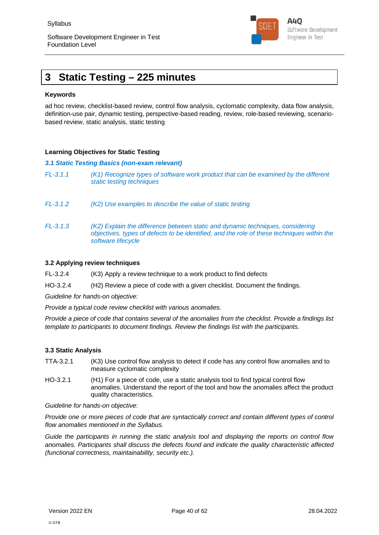

## **3 Static Testing – 225 minutes**

#### **Keywords**

ad hoc review, checklist-based review, control flow analysis, cyclomatic complexity, data flow analysis, definition-use pair, dynamic testing, perspective-based reading, review, role-based reviewing, scenariobased review, static analysis, static testing

#### **Learning Objectives for Static Testing**

#### *3.1 Static Testing Basics (non-exam relevant)*

- *FL-3.1.1 (K1) Recognize types of software work product that can be examined by the different static testing techniques*
- *FL-3.1.2 (K2) Use examples to describe the value of static testing*
- *FL-3.1.3 (K2) Explain the difference between static and dynamic techniques, considering objectives, types of defects to be identified, and the role of these techniques within the software lifecycle*

#### **3.2 Applying review techniques**

FL-3.2.4 (K3) Apply a review technique to a work product to find defects

HO-3.2.4 (H2) Review a piece of code with a given checklist. Document the findings.

*Guideline for hands-on objective:*

*Provide a typical code review checklist with various anomalies.*

*Provide a piece of code that contains several of the anomalies from the checklist. Provide a findings list template to participants to document findings. Review the findings list with the participants.*

#### **3.3 Static Analysis**

- TTA-3.2.1 (K3) Use control flow analysis to detect if code has any control flow anomalies and to measure cyclomatic complexity
- HO-3.2.1 (H1) For a piece of code, use a static analysis tool to find typical control flow anomalies. Understand the report of the tool and how the anomalies affect the product quality characteristics.

*Guideline for hands-on objective:*

*Provide one or more pieces of code that are syntactically correct and contain different types of control flow anomalies mentioned in the Syllabus.*

*Guide the participants in running the static analysis tool and displaying the reports on control flow anomalies. Participants shall discuss the defects found and indicate the quality characteristic affected (functional correctness, maintainability, security etc.).*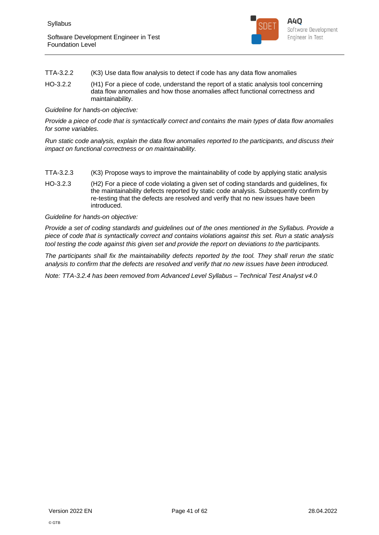

- TTA-3.2.2 (K3) Use data flow analysis to detect if code has any data flow anomalies
- HO-3.2.2 (H1) For a piece of code, understand the report of a static analysis tool concerning data flow anomalies and how those anomalies affect functional correctness and maintainability.

#### *Guideline for hands-on objective:*

*Provide a piece of code that is syntactically correct and contains the main types of data flow anomalies for some variables.*

*Run static code analysis, explain the data flow anomalies reported to the participants, and discuss their impact on functional correctness or on maintainability.*

- TTA-3.2.3 (K3) Propose ways to improve the maintainability of code by applying static analysis
- HO-3.2.3 (H2) For a piece of code violating a given set of coding standards and guidelines, fix the maintainability defects reported by static code analysis. Subsequently confirm by re-testing that the defects are resolved and verify that no new issues have been introduced.

#### *Guideline for hands-on objective:*

*Provide a set of coding standards and guidelines out of the ones mentioned in the Syllabus. Provide a piece of code that is syntactically correct and contains violations against this set. Run a static analysis tool testing the code against this given set and provide the report on deviations to the participants.*

*The participants shall fix the maintainability defects reported by the tool. They shall rerun the static analysis to confirm that the defects are resolved and verify that no new issues have been introduced.*

*Note: TTA-3.2.4 has been removed from Advanced Level Syllabus – Technical Test Analyst v4.0*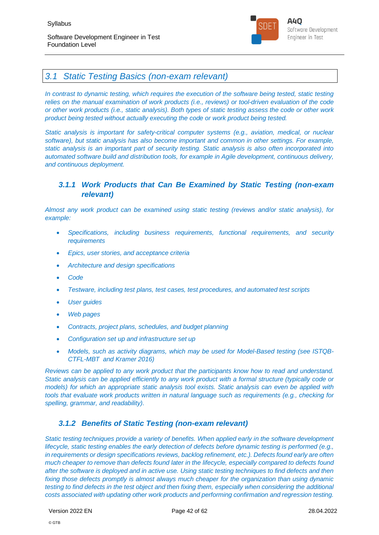

## *3.1 Static Testing Basics (non-exam relevant)*

*In contrast to dynamic testing, which requires the execution of the software being tested, static testing relies on the manual examination of work products (i.e., reviews) or tool-driven evaluation of the code or other work products (i.e., static analysis). Both types of static testing assess the code or other work product being tested without actually executing the code or work product being tested.*

*Static analysis is important for safety-critical computer systems (e.g., aviation, medical, or nuclear software), but static analysis has also become important and common in other settings. For example, static analysis is an important part of security testing. Static analysis is also often incorporated into automated software build and distribution tools, for example in Agile development, continuous delivery, and continuous deployment.*

## *3.1.1 Work Products that Can Be Examined by Static Testing (non-exam relevant)*

*Almost any work product can be examined using static testing (reviews and/or static analysis), for example:*

- *Specifications, including business requirements, functional requirements, and security requirements*
- *Epics, user stories, and acceptance criteria*
- *Architecture and design specifications*
- *Code*
- *Testware, including test plans, test cases, test procedures, and automated test scripts*
- *User guides*
- *Web pages*
- *Contracts, project plans, schedules, and budget planning*
- *Configuration set up and infrastructure set up*
- *Models, such as activity diagrams, which may be used for Model-Based testing (see ISTQB-CTFL-MBT and Kramer 2016)*

*Reviews can be applied to any work product that the participants know how to read and understand. Static analysis can be applied efficiently to any work product with a formal structure (typically code or models) for which an appropriate static analysis tool exists. Static analysis can even be applied with tools that evaluate work products written in natural language such as requirements (e.g., checking for spelling, grammar, and readability).*

### *3.1.2 Benefits of Static Testing (non-exam relevant)*

*Static testing techniques provide a variety of benefits. When applied early in the software development lifecycle, static testing enables the early detection of defects before dynamic testing is performed (e.g., in requirements or design specifications reviews, backlog refinement, etc.). Defects found early are often much cheaper to remove than defects found later in the lifecycle, especially compared to defects found after the software is deployed and in active use. Using static testing techniques to find defects and then fixing those defects promptly is almost always much cheaper for the organization than using dynamic testing to find defects in the test object and then fixing them, especially when considering the additional costs associated with updating other work products and performing confirmation and regression testing.*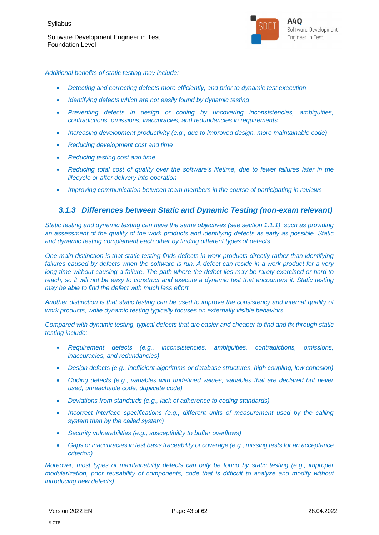

*Additional benefits of static testing may include:*

- *Detecting and correcting defects more efficiently, and prior to dynamic test execution*
- *Identifying defects which are not easily found by dynamic testing*
- *Preventing defects in design or coding by uncovering inconsistencies, ambiguities, contradictions, omissions, inaccuracies, and redundancies in requirements*
- *Increasing development productivity (e.g., due to improved design, more maintainable code)*
- *Reducing development cost and time*
- *Reducing testing cost and time*
- *Reducing total cost of quality over the software's lifetime, due to fewer failures later in the lifecycle or after delivery into operation*
- *Improving communication between team members in the course of participating in reviews*

#### *3.1.3 Differences between Static and Dynamic Testing (non-exam relevant)*

*Static testing and dynamic testing can have the same objectives (see section 1.1.1), such as providing an assessment of the quality of the work products and identifying defects as early as possible. Static and dynamic testing complement each other by finding different types of defects.*

*One main distinction is that static testing finds defects in work products directly rather than identifying failures caused by defects when the software is run. A defect can reside in a work product for a very long time without causing a failure. The path where the defect lies may be rarely exercised or hard to reach, so it will not be easy to construct and execute a dynamic test that encounters it. Static testing may be able to find the defect with much less effort.*

*Another distinction is that static testing can be used to improve the consistency and internal quality of work products, while dynamic testing typically focuses on externally visible behaviors.*

*Compared with dynamic testing, typical defects that are easier and cheaper to find and fix through static testing include:*

- *Requirement defects (e.g., inconsistencies, ambiguities, contradictions, omissions, inaccuracies, and redundancies)*
- *Design defects (e.g., inefficient algorithms or database structures, high coupling, low cohesion)*
- *Coding defects (e.g., variables with undefined values, variables that are declared but never used, unreachable code, duplicate code)*
- *Deviations from standards (e.g., lack of adherence to coding standards)*
- *Incorrect interface specifications (e.g., different units of measurement used by the calling system than by the called system)*
- *Security vulnerabilities (e.g., susceptibility to buffer overflows)*
- *Gaps or inaccuracies in test basis traceability or coverage (e.g., missing tests for an acceptance criterion)*

*Moreover, most types of maintainability defects can only be found by static testing (e.g., improper modularization, poor reusability of components, code that is difficult to analyze and modify without introducing new defects).*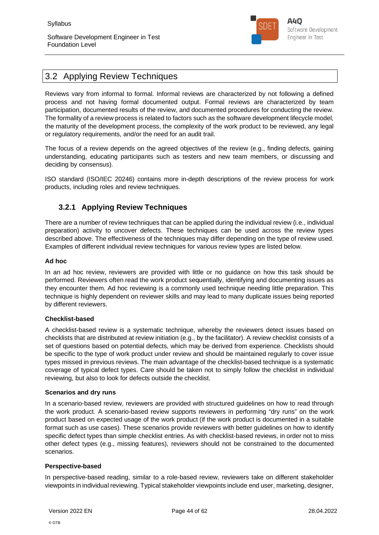

## 3.2 Applying Review Techniques

Reviews vary from informal to formal. Informal reviews are characterized by not following a defined process and not having formal documented output. Formal reviews are characterized by team participation, documented results of the review, and documented procedures for conducting the review. The formality of a review process is related to factors such as the software development lifecycle model, the maturity of the development process, the complexity of the work product to be reviewed, any legal or regulatory requirements, and/or the need for an audit trail.

The focus of a review depends on the agreed objectives of the review (e.g., finding defects, gaining understanding, educating participants such as testers and new team members, or discussing and deciding by consensus).

ISO standard (ISO/IEC 20246) contains more in-depth descriptions of the review process for work products, including roles and review techniques.

## **3.2.1 Applying Review Techniques**

There are a number of review techniques that can be applied during the individual review (i.e., individual preparation) activity to uncover defects. These techniques can be used across the review types described above. The effectiveness of the techniques may differ depending on the type of review used. Examples of different individual review techniques for various review types are listed below.

#### **Ad hoc**

In an ad hoc review, reviewers are provided with little or no guidance on how this task should be performed. Reviewers often read the work product sequentially, identifying and documenting issues as they encounter them. Ad hoc reviewing is a commonly used technique needing little preparation. This technique is highly dependent on reviewer skills and may lead to many duplicate issues being reported by different reviewers.

#### **Checklist-based**

A checklist-based review is a systematic technique, whereby the reviewers detect issues based on checklists that are distributed at review initiation (e.g., by the facilitator). A review checklist consists of a set of questions based on potential defects, which may be derived from experience. Checklists should be specific to the type of work product under review and should be maintained regularly to cover issue types missed in previous reviews. The main advantage of the checklist-based technique is a systematic coverage of typical defect types. Care should be taken not to simply follow the checklist in individual reviewing, but also to look for defects outside the checklist.

#### **Scenarios and dry runs**

In a scenario-based review, reviewers are provided with structured guidelines on how to read through the work product. A scenario-based review supports reviewers in performing "dry runs" on the work product based on expected usage of the work product (if the work product is documented in a suitable format such as use cases). These scenarios provide reviewers with better guidelines on how to identify specific defect types than simple checklist entries. As with checklist-based reviews, in order not to miss other defect types (e.g., missing features), reviewers should not be constrained to the documented scenarios.

#### **Perspective-based**

In perspective-based reading, similar to a role-based review, reviewers take on different stakeholder viewpoints in individual reviewing. Typical stakeholder viewpoints include end user, marketing, designer,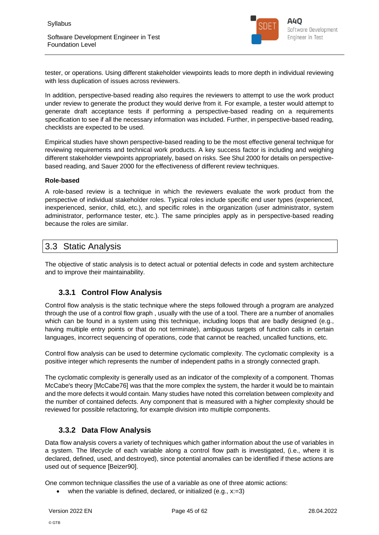

tester, or operations. Using different stakeholder viewpoints leads to more depth in individual reviewing with less duplication of issues across reviewers.

In addition, perspective-based reading also requires the reviewers to attempt to use the work product under review to generate the product they would derive from it. For example, a tester would attempt to generate draft acceptance tests if performing a perspective-based reading on a requirements specification to see if all the necessary information was included. Further, in perspective-based reading, checklists are expected to be used.

Empirical studies have shown perspective-based reading to be the most effective general technique for reviewing requirements and technical work products. A key success factor is including and weighing different stakeholder viewpoints appropriately, based on risks. See Shul 2000 for details on perspectivebased reading, and Sauer 2000 for the effectiveness of different review techniques.

#### **Role-based**

A role-based review is a technique in which the reviewers evaluate the work product from the perspective of individual stakeholder roles. Typical roles include specific end user types (experienced, inexperienced, senior, child, etc.), and specific roles in the organization (user administrator, system administrator, performance tester, etc.). The same principles apply as in perspective-based reading because the roles are similar.

## 3.3 Static Analysis

The objective of static analysis is to detect actual or potential defects in code and system architecture and to improve their maintainability.

### **3.3.1 Control Flow Analysis**

Control flow analysis is the static technique where the steps followed through a program are analyzed through the use of a control flow graph , usually with the use of a tool. There are a number of anomalies which can be found in a system using this technique, including loops that are badly designed (e.g., having multiple entry points or that do not terminate), ambiguous targets of function calls in certain languages, incorrect sequencing of operations, code that cannot be reached, uncalled functions, etc.

Control flow analysis can be used to determine cyclomatic complexity. The cyclomatic complexity is a positive integer which represents the number of independent paths in a strongly connected graph.

The cyclomatic complexity is generally used as an indicator of the complexity of a component. Thomas McCabe's theory [McCabe76] was that the more complex the system, the harder it would be to maintain and the more defects it would contain. Many studies have noted this correlation between complexity and the number of contained defects. Any component that is measured with a higher complexity should be reviewed for possible refactoring, for example division into multiple components.

### **3.3.2 Data Flow Analysis**

Data flow analysis covers a variety of techniques which gather information about the use of variables in a system. The lifecycle of each variable along a control flow path is investigated, (i.e., where it is declared, defined, used, and destroyed), since potential anomalies can be identified if these actions are used out of sequence [Beizer90].

One common technique classifies the use of a variable as one of three atomic actions:

when the variable is defined, declared, or initialized (e.g., x:=3)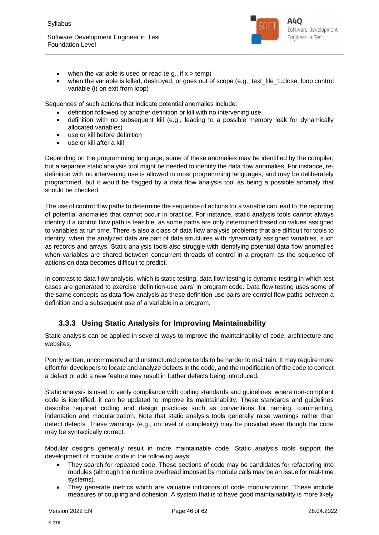

- when the variable is used or read (e.g., if  $x > temp$ )
- when the variable is killed, destroyed, or goes out of scope (e.g., text file 1.close, loop control variable (i) on exit from loop)

Sequences of such actions that indicate potential anomalies include:

- definition followed by another definition or kill with no intervening use
- definition with no subsequent kill (e.g., leading to a possible memory leak for dynamically allocated variables)
- use or kill before definition
- use or kill after a kill

Depending on the programming language, some of these anomalies may be identified by the compiler, but a separate static analysis tool might be needed to identify the data flow anomalies. For instance, redefinition with no intervening use is allowed in most programming languages, and may be deliberately programmed, but it would be flagged by a data flow analysis tool as being a possible anomaly that should be checked.

The use of control flow paths to determine the sequence of actions for a variable can lead to the reporting of potential anomalies that cannot occur in practice. For instance, static analysis tools cannot always identify if a control flow path is feasible, as some paths are only determined based on values assigned to variables at run time. There is also a class of data flow analysis problems that are difficult for tools to identify, when the analyzed data are part of data structures with dynamically assigned variables, such as records and arrays. Static analysis tools also struggle with identifying potential data flow anomalies when variables are shared between concurrent threads of control in a program as the sequence of actions on data becomes difficult to predict.

In contrast to data flow analysis, which is static testing, data flow testing is dynamic testing in which test cases are generated to exercise 'definition-use pairs' in program code. Data flow testing uses some of the same concepts as data flow analysis as these definition-use pairs are control flow paths between a definition and a subsequent use of a variable in a program.

## **3.3.3 Using Static Analysis for Improving Maintainability**

Static analysis can be applied in several ways to improve the maintainability of code, architecture and websites.

Poorly written, uncommented and unstructured code tends to be harder to maintain. It may require more effort for developers to locate and analyze defects in the code, and the modification of the code to correct a defect or add a new feature may result in further defects being introduced.

Static analysis is used to verify compliance with coding standards and guidelines; where non-compliant code is identified, it can be updated to improve its maintainability. These standards and guidelines describe required coding and design practices such as conventions for naming, commenting, indentation and modularization. Note that static analysis tools generally raise warnings rather than detect defects. These warnings (e.g., on level of complexity) may be provided even though the code may be syntactically correct.

Modular designs generally result in more maintainable code. Static analysis tools support the development of modular code in the following ways:

- They search for repeated code. These sections of code may be candidates for refactoring into modules (although the runtime overhead imposed by module calls may be an issue for real-time systems).
- They generate metrics which are valuable indicators of code modularization. These include measures of coupling and cohesion. A system that is to have good maintainability is more likely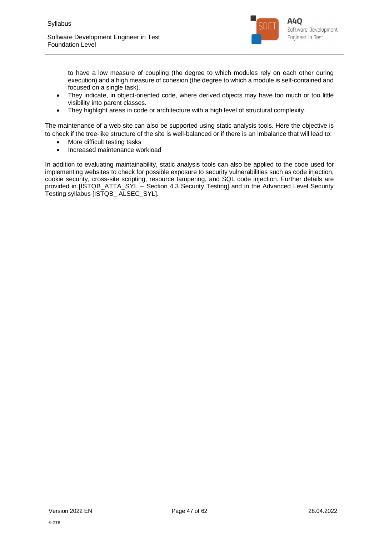

to have a low measure of coupling (the degree to which modules rely on each other during execution) and a high measure of cohesion (the degree to which a module is self-contained and focused on a single task).

- They indicate, in object-oriented code, where derived objects may have too much or too little visibility into parent classes.
- They highlight areas in code or architecture with a high level of structural complexity.

The maintenance of a web site can also be supported using static analysis tools. Here the objective is to check if the tree-like structure of the site is well-balanced or if there is an imbalance that will lead to:

- More difficult testing tasks
- Increased maintenance workload

In addition to evaluating maintainability, static analysis tools can also be applied to the code used for implementing websites to check for possible exposure to security vulnerabilities such as code injection, cookie security, cross-site scripting, resource tampering, and SQL code injection. Further details are provided in [ISTQB\_ATTA\_SYL – Section 4.3 Security Testing] and in the Advanced Level Security Testing syllabus [ISTQB\_ ALSEC\_SYL].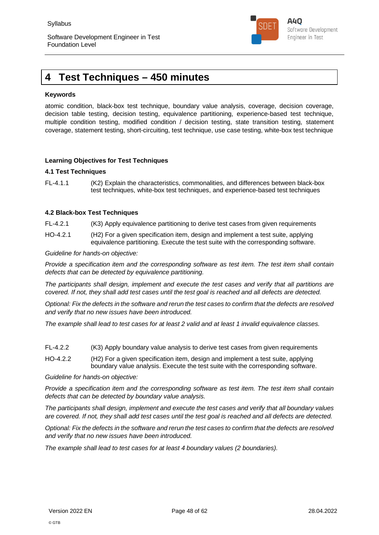

## **4 Test Techniques – 450 minutes**

#### **Keywords**

atomic condition, black-box test technique, boundary value analysis, coverage, decision coverage, decision table testing, decision testing, equivalence partitioning, experience-based test technique, multiple condition testing, modified condition / decision testing, state transition testing, statement coverage, statement testing, short-circuiting, test technique, use case testing, white-box test technique

#### **Learning Objectives for Test Techniques**

#### **4.1 Test Techniques**

FL-4.1.1 (K2) Explain the characteristics, commonalities, and differences between black-box test techniques, white-box test techniques, and experience-based test techniques

#### **4.2 Black-box Test Techniques**

- FL-4.2.1 (K3) Apply equivalence partitioning to derive test cases from given requirements
- HO-4.2.1 (H2) For a given specification item, design and implement a test suite, applying equivalence partitioning. Execute the test suite with the corresponding software.

#### *Guideline for hands-on objective:*

*Provide a specification item and the corresponding software as test item. The test item shall contain defects that can be detected by equivalence partitioning.*

*The participants shall design, implement and execute the test cases and verify that all partitions are covered. If not, they shall add test cases until the test goal is reached and all defects are detected.*

*Optional: Fix the defects in the software and rerun the test cases to confirm that the defects are resolved and verify that no new issues have been introduced.*

*The example shall lead to test cases for at least 2 valid and at least 1 invalid equivalence classes.*

- FL-4.2.2 (K3) Apply boundary value analysis to derive test cases from given requirements
- HO-4.2.2 (H2) For a given specification item, design and implement a test suite, applying boundary value analysis. Execute the test suite with the corresponding software.

*Guideline for hands-on objective:*

*Provide a specification item and the corresponding software as test item. The test item shall contain defects that can be detected by boundary value analysis.*

*The participants shall design, implement and execute the test cases and verify that all boundary values are covered. If not, they shall add test cases until the test goal is reached and all defects are detected.*

*Optional: Fix the defects in the software and rerun the test cases to confirm that the defects are resolved and verify that no new issues have been introduced.*

*The example shall lead to test cases for at least 4 boundary values (2 boundaries).*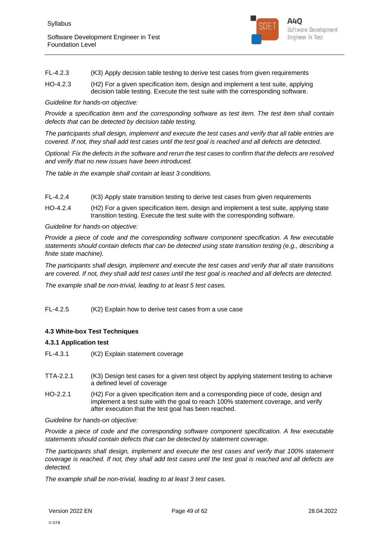

| FL-4.2.3 |  |  | (K3) Apply decision table testing to derive test cases from given requirements |  |
|----------|--|--|--------------------------------------------------------------------------------|--|
|          |  |  |                                                                                |  |

HO-4.2.3 (H2) For a given specification item, design and implement a test suite, applying decision table testing. Execute the test suite with the corresponding software.

*Guideline for hands-on objective:*

*Provide a specification item and the corresponding software as test item. The test item shall contain defects that can be detected by decision table testing.*

*The participants shall design, implement and execute the test cases and verify that all table entries are covered. If not, they shall add test cases until the test goal is reached and all defects are detected.*

*Optional: Fix the defects in the software and rerun the test cases to confirm that the defects are resolved and verify that no new issues have been introduced.*

*The table in the example shall contain at least 3 conditions.*

- FL-4.2.4 (K3) Apply state transition testing to derive test cases from given requirements
- HO-4.2.4 (H2) For a given specification item, design and implement a test suite, applying state transition testing. Execute the test suite with the corresponding software.

*Guideline for hands-on objective:*

*Provide a piece of code and the corresponding software component specification. A few executable statements should contain defects that can be detected using state transition testing (e.g., describing a finite state machine).*

*The participants shall design, implement and execute the test cases and verify that all state transitions are covered. If not, they shall add test cases until the test goal is reached and all defects are detected.*

*The example shall be non-trivial, leading to at least 5 test cases.*

FL-4.2.5 (K2) Explain how to derive test cases from a use case

#### **4.3 White-box Test Techniques**

#### **4.3.1 Application test**

- FL-4.3.1 (K2) Explain statement coverage
- TTA-2.2.1 (K3) Design test cases for a given test object by applying statement testing to achieve a defined level of coverage
- HO-2.2.1 (H2) For a given specification item and a corresponding piece of code, design and implement a test suite with the goal to reach 100% statement coverage, and verify after execution that the test goal has been reached.

*Guideline for hands-on objective:*

*Provide a piece of code and the corresponding software component specification. A few executable statements should contain defects that can be detected by statement coverage.*

*The participants shall design, implement and execute the test cases and verify that 100% statement coverage is reached. If not, they shall add test cases until the test goal is reached and all defects are detected.*

*The example shall be non-trivial, leading to at least 3 test cases.*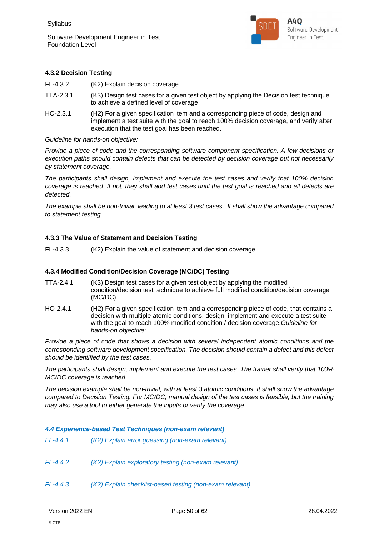

#### **4.3.2 Decision Testing**

FL-4.3.2 (K2) Explain decision coverage

- TTA-2.3.1 (K3) Design test cases for a given test object by applying the Decision test technique to achieve a defined level of coverage
- HO-2.3.1 (H2) For a given specification item and a corresponding piece of code, design and implement a test suite with the goal to reach 100% decision coverage, and verify after execution that the test goal has been reached.

#### *Guideline for hands-on objective:*

*Provide a piece of code and the corresponding software component specification. A few decisions or execution paths should contain defects that can be detected by decision coverage but not necessarily by statement coverage.*

*The participants shall design, implement and execute the test cases and verify that 100% decision coverage is reached. If not, they shall add test cases until the test goal is reached and all defects are detected.*

*The example shall be non-trivial, leading to at least 3 test cases. It shall show the advantage compared to statement testing.*

#### **4.3.3 The Value of Statement and Decision Testing**

FL-4.3.3 (K2) Explain the value of statement and decision coverage

#### **4.3.4 Modified Condition/Decision Coverage (MC/DC) Testing**

- TTA-2.4.1 (K3) Design test cases for a given test object by applying the modified condition/decision test technique to achieve full modified condition/decision coverage (MC/DC)
- HO-2.4.1 (H2) For a given specification item and a corresponding piece of code, that contains a decision with multiple atomic conditions, design, implement and execute a test suite with the goal to reach 100% modified condition / decision coverage.*Guideline for hands-on objective:*

*Provide a piece of code that shows a decision with several independent atomic conditions and the corresponding software development specification. The decision should contain a defect and this defect should be identified by the test cases.*

*The participants shall design, implement and execute the test cases. The trainer shall verify that 100% MC/DC coverage is reached.*

*The decision example shall be non-trivial, with at least 3 atomic conditions. It shall show the advantage compared to Decision Testing. For MC/DC, manual design of the test cases is feasible, but the training may also use a tool to either generate the inputs or verify the coverage.*

#### *4.4 Experience-based Test Techniques (non-exam relevant)*

- *FL-4.4.2 (K2) Explain exploratory testing (non-exam relevant)*
- *FL-4.4.3 (K2) Explain checklist-based testing (non-exam relevant)*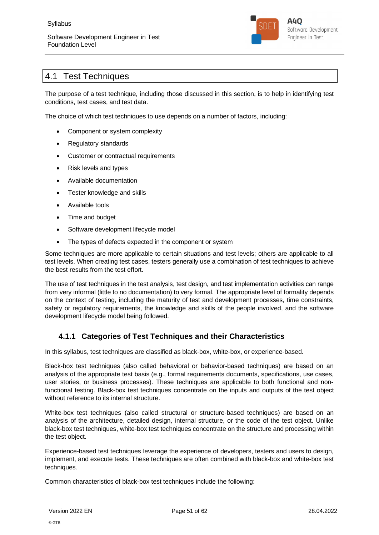

## 4.1 Test Techniques

The purpose of a test technique, including those discussed in this section, is to help in identifying test conditions, test cases, and test data.

The choice of which test techniques to use depends on a number of factors, including:

- Component or system complexity
- Regulatory standards
- Customer or contractual requirements
- Risk levels and types
- Available documentation
- Tester knowledge and skills
- Available tools
- Time and budget
- Software development lifecycle model
- The types of defects expected in the component or system

Some techniques are more applicable to certain situations and test levels; others are applicable to all test levels. When creating test cases, testers generally use a combination of test techniques to achieve the best results from the test effort.

The use of test techniques in the test analysis, test design, and test implementation activities can range from very informal (little to no documentation) to very formal. The appropriate level of formality depends on the context of testing, including the maturity of test and development processes, time constraints, safety or regulatory requirements, the knowledge and skills of the people involved, and the software development lifecycle model being followed.

### **4.1.1 Categories of Test Techniques and their Characteristics**

In this syllabus, test techniques are classified as black-box, white-box, or experience-based.

Black-box test techniques (also called behavioral or behavior-based techniques) are based on an analysis of the appropriate test basis (e.g., formal requirements documents, specifications, use cases, user stories, or business processes). These techniques are applicable to both functional and nonfunctional testing. Black-box test techniques concentrate on the inputs and outputs of the test object without reference to its internal structure.

White-box test techniques (also called structural or structure-based techniques) are based on an analysis of the architecture, detailed design, internal structure, or the code of the test object. Unlike black-box test techniques, white-box test techniques concentrate on the structure and processing within the test object.

Experience-based test techniques leverage the experience of developers, testers and users to design, implement, and execute tests. These techniques are often combined with black-box and white-box test techniques.

Common characteristics of black-box test techniques include the following: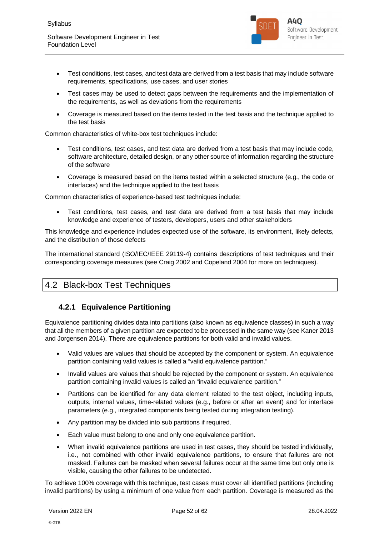

- Test conditions, test cases, and test data are derived from a test basis that may include software requirements, specifications, use cases, and user stories
- Test cases may be used to detect gaps between the requirements and the implementation of the requirements, as well as deviations from the requirements
- Coverage is measured based on the items tested in the test basis and the technique applied to the test basis

Common characteristics of white-box test techniques include:

- Test conditions, test cases, and test data are derived from a test basis that may include code, software architecture, detailed design, or any other source of information regarding the structure of the software
- Coverage is measured based on the items tested within a selected structure (e.g., the code or interfaces) and the technique applied to the test basis

Common characteristics of experience-based test techniques include:

 Test conditions, test cases, and test data are derived from a test basis that may include knowledge and experience of testers, developers, users and other stakeholders

This knowledge and experience includes expected use of the software, its environment, likely defects, and the distribution of those defects

The international standard (ISO/IEC/IEEE 29119-4) contains descriptions of test techniques and their corresponding coverage measures (see Craig 2002 and Copeland 2004 for more on techniques).

## 4.2 Black-box Test Techniques

## **4.2.1 Equivalence Partitioning**

Equivalence partitioning divides data into partitions (also known as equivalence classes) in such a way that all the members of a given partition are expected to be processed in the same way (see Kaner 2013 and Jorgensen 2014). There are equivalence partitions for both valid and invalid values.

- Valid values are values that should be accepted by the component or system. An equivalence partition containing valid values is called a "valid equivalence partition."
- Invalid values are values that should be rejected by the component or system. An equivalence partition containing invalid values is called an "invalid equivalence partition."
- Partitions can be identified for any data element related to the test object, including inputs, outputs, internal values, time-related values (e.g., before or after an event) and for interface parameters (e.g., integrated components being tested during integration testing).
- Any partition may be divided into sub partitions if required.
- Each value must belong to one and only one equivalence partition.
- When invalid equivalence partitions are used in test cases, they should be tested individually, i.e., not combined with other invalid equivalence partitions, to ensure that failures are not masked. Failures can be masked when several failures occur at the same time but only one is visible, causing the other failures to be undetected.

To achieve 100% coverage with this technique, test cases must cover all identified partitions (including invalid partitions) by using a minimum of one value from each partition. Coverage is measured as the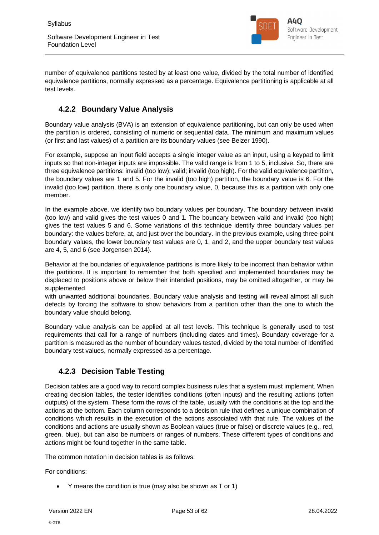

number of equivalence partitions tested by at least one value, divided by the total number of identified equivalence partitions, normally expressed as a percentage. Equivalence partitioning is applicable at all test levels.

## **4.2.2 Boundary Value Analysis**

Boundary value analysis (BVA) is an extension of equivalence partitioning, but can only be used when the partition is ordered, consisting of numeric or sequential data. The minimum and maximum values (or first and last values) of a partition are its boundary values (see Beizer 1990).

For example, suppose an input field accepts a single integer value as an input, using a keypad to limit inputs so that non-integer inputs are impossible. The valid range is from 1 to 5, inclusive. So, there are three equivalence partitions: invalid (too low); valid; invalid (too high). For the valid equivalence partition, the boundary values are 1 and 5. For the invalid (too high) partition, the boundary value is 6. For the invalid (too low) partition, there is only one boundary value, 0, because this is a partition with only one member.

In the example above, we identify two boundary values per boundary. The boundary between invalid (too low) and valid gives the test values 0 and 1. The boundary between valid and invalid (too high) gives the test values 5 and 6. Some variations of this technique identify three boundary values per boundary: the values before, at, and just over the boundary. In the previous example, using three-point boundary values, the lower boundary test values are 0, 1, and 2, and the upper boundary test values are 4, 5, and 6 (see Jorgensen 2014).

Behavior at the boundaries of equivalence partitions is more likely to be incorrect than behavior within the partitions. It is important to remember that both specified and implemented boundaries may be displaced to positions above or below their intended positions, may be omitted altogether, or may be supplemented

with unwanted additional boundaries. Boundary value analysis and testing will reveal almost all such defects by forcing the software to show behaviors from a partition other than the one to which the boundary value should belong.

Boundary value analysis can be applied at all test levels. This technique is generally used to test requirements that call for a range of numbers (including dates and times). Boundary coverage for a partition is measured as the number of boundary values tested, divided by the total number of identified boundary test values, normally expressed as a percentage.

## **4.2.3 Decision Table Testing**

Decision tables are a good way to record complex business rules that a system must implement. When creating decision tables, the tester identifies conditions (often inputs) and the resulting actions (often outputs) of the system. These form the rows of the table, usually with the conditions at the top and the actions at the bottom. Each column corresponds to a decision rule that defines a unique combination of conditions which results in the execution of the actions associated with that rule. The values of the conditions and actions are usually shown as Boolean values (true or false) or discrete values (e.g., red, green, blue), but can also be numbers or ranges of numbers. These different types of conditions and actions might be found together in the same table.

The common notation in decision tables is as follows:

For conditions:

Y means the condition is true (may also be shown as T or 1)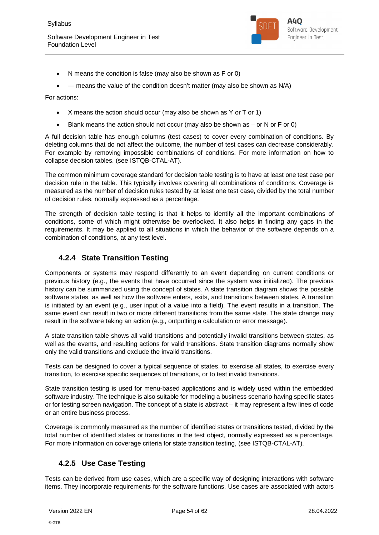

- N means the condition is false (may also be shown as F or 0)
- means the value of the condition doesn't matter (may also be shown as N/A)

For actions:

- X means the action should occur (may also be shown as Y or T or 1)
- Blank means the action should not occur (may also be shown as  $-$  or N or F or 0)

A full decision table has enough columns (test cases) to cover every combination of conditions. By deleting columns that do not affect the outcome, the number of test cases can decrease considerably. For example by removing impossible combinations of conditions. For more information on how to collapse decision tables. (see ISTQB-CTAL-AT).

The common minimum coverage standard for decision table testing is to have at least one test case per decision rule in the table. This typically involves covering all combinations of conditions. Coverage is measured as the number of decision rules tested by at least one test case, divided by the total number of decision rules, normally expressed as a percentage.

The strength of decision table testing is that it helps to identify all the important combinations of conditions, some of which might otherwise be overlooked. It also helps in finding any gaps in the requirements. It may be applied to all situations in which the behavior of the software depends on a combination of conditions, at any test level.

### **4.2.4 State Transition Testing**

Components or systems may respond differently to an event depending on current conditions or previous history (e.g., the events that have occurred since the system was initialized). The previous history can be summarized using the concept of states. A state transition diagram shows the possible software states, as well as how the software enters, exits, and transitions between states. A transition is initiated by an event (e.g., user input of a value into a field). The event results in a transition. The same event can result in two or more different transitions from the same state. The state change may result in the software taking an action (e.g., outputting a calculation or error message).

A state transition table shows all valid transitions and potentially invalid transitions between states, as well as the events, and resulting actions for valid transitions. State transition diagrams normally show only the valid transitions and exclude the invalid transitions.

Tests can be designed to cover a typical sequence of states, to exercise all states, to exercise every transition, to exercise specific sequences of transitions, or to test invalid transitions.

State transition testing is used for menu-based applications and is widely used within the embedded software industry. The technique is also suitable for modeling a business scenario having specific states or for testing screen navigation. The concept of a state is abstract – it may represent a few lines of code or an entire business process.

Coverage is commonly measured as the number of identified states or transitions tested, divided by the total number of identified states or transitions in the test object, normally expressed as a percentage. For more information on coverage criteria for state transition testing, (see ISTQB-CTAL-AT).

## **4.2.5 Use Case Testing**

Tests can be derived from use cases, which are a specific way of designing interactions with software items. They incorporate requirements for the software functions. Use cases are associated with actors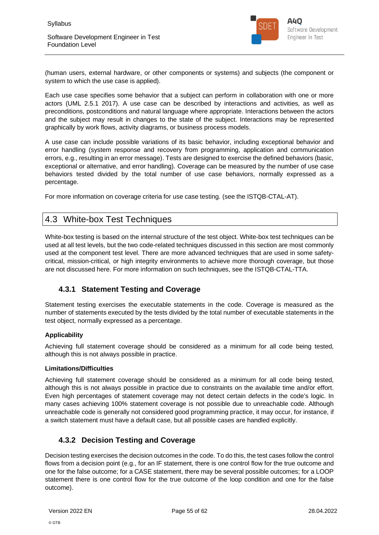

(human users, external hardware, or other components or systems) and subjects (the component or system to which the use case is applied).

Each use case specifies some behavior that a subject can perform in collaboration with one or more actors (UML 2.5.1 2017). A use case can be described by interactions and activities, as well as preconditions, postconditions and natural language where appropriate. Interactions between the actors and the subject may result in changes to the state of the subject. Interactions may be represented graphically by work flows, activity diagrams, or business process models.

A use case can include possible variations of its basic behavior, including exceptional behavior and error handling (system response and recovery from programming, application and communication errors, e.g., resulting in an error message). Tests are designed to exercise the defined behaviors (basic, exceptional or alternative, and error handling). Coverage can be measured by the number of use case behaviors tested divided by the total number of use case behaviors, normally expressed as a percentage.

For more information on coverage criteria for use case testing. (see the ISTQB-CTAL-AT).

## 4.3 White-box Test Techniques

White-box testing is based on the internal structure of the test object. White-box test techniques can be used at all test levels, but the two code-related techniques discussed in this section are most commonly used at the component test level. There are more advanced techniques that are used in some safetycritical, mission-critical, or high integrity environments to achieve more thorough coverage, but those are not discussed here. For more information on such techniques, see the ISTQB-CTAL-TTA.

## **4.3.1 Statement Testing and Coverage**

Statement testing exercises the executable statements in the code. Coverage is measured as the number of statements executed by the tests divided by the total number of executable statements in the test object, normally expressed as a percentage.

#### **Applicability**

Achieving full statement coverage should be considered as a minimum for all code being tested, although this is not always possible in practice.

#### **Limitations/Difficulties**

Achieving full statement coverage should be considered as a minimum for all code being tested, although this is not always possible in practice due to constraints on the available time and/or effort. Even high percentages of statement coverage may not detect certain defects in the code's logic. In many cases achieving 100% statement coverage is not possible due to unreachable code. Although unreachable code is generally not considered good programming practice, it may occur, for instance, if a switch statement must have a default case, but all possible cases are handled explicitly.

### **4.3.2 Decision Testing and Coverage**

Decision testing exercises the decision outcomes in the code. To do this, the test cases follow the control flows from a decision point (e.g., for an IF statement, there is one control flow for the true outcome and one for the false outcome; for a CASE statement, there may be several possible outcomes; for a LOOP statement there is one control flow for the true outcome of the loop condition and one for the false outcome).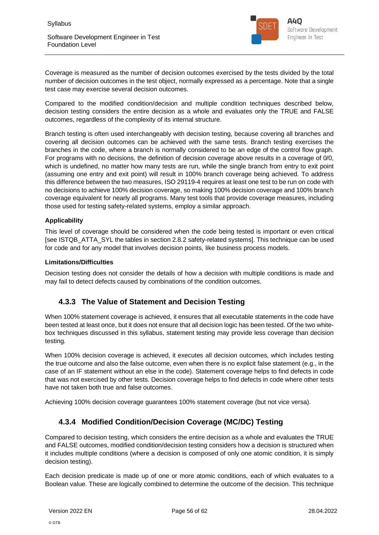

Coverage is measured as the number of decision outcomes exercised by the tests divided by the total number of decision outcomes in the test object, normally expressed as a percentage. Note that a single test case may exercise several decision outcomes.

Compared to the modified condition/decision and multiple condition techniques described below, decision testing considers the entire decision as a whole and evaluates only the TRUE and FALSE outcomes, regardless of the complexity of its internal structure.

Branch testing is often used interchangeably with decision testing, because covering all branches and covering all decision outcomes can be achieved with the same tests. Branch testing exercises the branches in the code, where a branch is normally considered to be an edge of the control flow graph. For programs with no decisions, the definition of decision coverage above results in a coverage of 0/0, which is undefined, no matter how many tests are run, while the single branch from entry to exit point (assuming one entry and exit point) will result in 100% branch coverage being achieved. To address this difference between the two measures, ISO 29119-4 requires at least one test to be run on code with no decisions to achieve 100% decision coverage, so making 100% decision coverage and 100% branch coverage equivalent for nearly all programs. Many test tools that provide coverage measures, including those used for testing safety-related systems, employ a similar approach.

#### **Applicability**

This level of coverage should be considered when the code being tested is important or even critical [see ISTQB\_ATTA\_SYL the tables in section 2.8.2 safety-related systems]. This technique can be used for code and for any model that involves decision points, like business process models.

#### **Limitations/Difficulties**

Decision testing does not consider the details of how a decision with multiple conditions is made and may fail to detect defects caused by combinations of the condition outcomes.

### **4.3.3 The Value of Statement and Decision Testing**

When 100% statement coverage is achieved, it ensures that all executable statements in the code have been tested at least once, but it does not ensure that all decision logic has been tested. Of the two whitebox techniques discussed in this syllabus, statement testing may provide less coverage than decision testing.

When 100% decision coverage is achieved, it executes all decision outcomes, which includes testing the true outcome and also the false outcome, even when there is no explicit false statement (e.g., in the case of an IF statement without an else in the code). Statement coverage helps to find defects in code that was not exercised by other tests. Decision coverage helps to find defects in code where other tests have not taken both true and false outcomes.

Achieving 100% decision coverage guarantees 100% statement coverage (but not vice versa).

## **4.3.4 Modified Condition/Decision Coverage (MC/DC) Testing**

Compared to decision testing, which considers the entire decision as a whole and evaluates the TRUE and FALSE outcomes, modified condition/decision testing considers how a decision is structured when it includes multiple conditions (where a decision is composed of only one atomic condition, it is simply decision testing).

Each decision predicate is made up of one or more atomic conditions, each of which evaluates to a Boolean value. These are logically combined to determine the outcome of the decision. This technique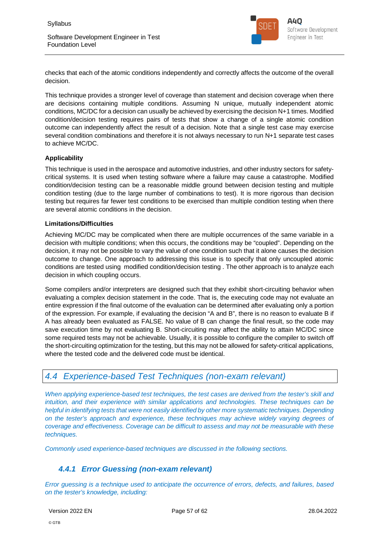

checks that each of the atomic conditions independently and correctly affects the outcome of the overall decision.

This technique provides a stronger level of coverage than statement and decision coverage when there are decisions containing multiple conditions. Assuming N unique, mutually independent atomic conditions, MC/DC for a decision can usually be achieved by exercising the decision N+1 times. Modified condition/decision testing requires pairs of tests that show a change of a single atomic condition outcome can independently affect the result of a decision. Note that a single test case may exercise several condition combinations and therefore it is not always necessary to run N+1 separate test cases to achieve MC/DC.

#### **Applicability**

This technique is used in the aerospace and automotive industries, and other industry sectors for safetycritical systems. It is used when testing software where a failure may cause a catastrophe. Modified condition/decision testing can be a reasonable middle ground between decision testing and multiple condition testing (due to the large number of combinations to test). It is more rigorous than decision testing but requires far fewer test conditions to be exercised than multiple condition testing when there are several atomic conditions in the decision.

#### **Limitations/Difficulties**

Achieving MC/DC may be complicated when there are multiple occurrences of the same variable in a decision with multiple conditions; when this occurs, the conditions may be "coupled". Depending on the decision, it may not be possible to vary the value of one condition such that it alone causes the decision outcome to change. One approach to addressing this issue is to specify that only uncoupled atomic conditions are tested using modified condition/decision testing . The other approach is to analyze each decision in which coupling occurs.

Some compilers and/or interpreters are designed such that they exhibit short-circuiting behavior when evaluating a complex decision statement in the code. That is, the executing code may not evaluate an entire expression if the final outcome of the evaluation can be determined after evaluating only a portion of the expression. For example, if evaluating the decision "A and B", there is no reason to evaluate B if A has already been evaluated as FALSE. No value of B can change the final result, so the code may save execution time by not evaluating B. Short-circuiting may affect the ability to attain MC/DC since some required tests may not be achievable. Usually, it is possible to configure the compiler to switch off the short-circuiting optimization for the testing, but this may not be allowed for safety-critical applications, where the tested code and the delivered code must be identical.

## *4.4 Experience-based Test Techniques (non-exam relevant)*

*When applying experience-based test techniques, the test cases are derived from the tester's skill and intuition, and their experience with similar applications and technologies. These techniques can be helpful in identifying tests that were not easily identified by other more systematic techniques. Depending on the tester's approach and experience, these techniques may achieve widely varying degrees of coverage and effectiveness. Coverage can be difficult to assess and may not be measurable with these techniques.*

*Commonly used experience-based techniques are discussed in the following sections.*

### *4.4.1 Error Guessing (non-exam relevant)*

*Error guessing is a technique used to anticipate the occurrence of errors, defects, and failures, based on the tester's knowledge, including:*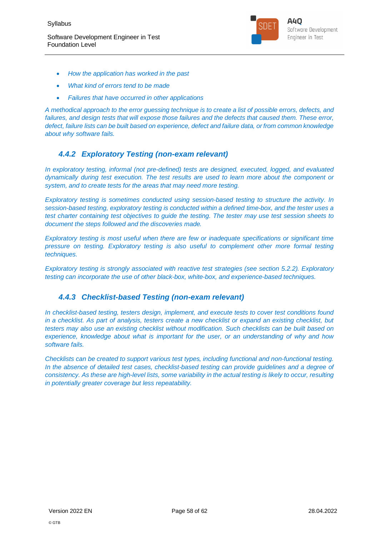

- *How the application has worked in the past*
- *What kind of errors tend to be made*
- *Failures that have occurred in other applications*

*A methodical approach to the error guessing technique is to create a list of possible errors, defects, and failures, and design tests that will expose those failures and the defects that caused them. These error, defect, failure lists can be built based on experience, defect and failure data, or from common knowledge about why software fails.*

## *4.4.2 Exploratory Testing (non-exam relevant)*

*In exploratory testing, informal (not pre-defined) tests are designed, executed, logged, and evaluated dynamically during test execution. The test results are used to learn more about the component or system, and to create tests for the areas that may need more testing.*

*Exploratory testing is sometimes conducted using session-based testing to structure the activity. In session-based testing, exploratory testing is conducted within a defined time-box, and the tester uses a test charter containing test objectives to guide the testing. The tester may use test session sheets to document the steps followed and the discoveries made.*

*Exploratory testing is most useful when there are few or inadequate specifications or significant time pressure on testing. Exploratory testing is also useful to complement other more formal testing techniques.*

*Exploratory testing is strongly associated with reactive test strategies (see section 5.2.2). Exploratory testing can incorporate the use of other black-box, white-box, and experience-based techniques.*

### *4.4.3 Checklist-based Testing (non-exam relevant)*

*In checklist-based testing, testers design, implement, and execute tests to cover test conditions found in a checklist. As part of analysis, testers create a new checklist or expand an existing checklist, but testers may also use an existing checklist without modification. Such checklists can be built based on experience, knowledge about what is important for the user, or an understanding of why and how software fails.*

*Checklists can be created to support various test types, including functional and non-functional testing. In the absence of detailed test cases, checklist-based testing can provide guidelines and a degree of consistency. As these are high-level lists, some variability in the actual testing is likely to occur, resulting in potentially greater coverage but less repeatability.*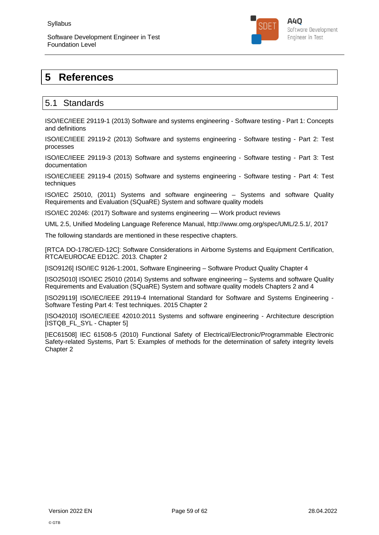

## **5 References**

## 5.1 Standards

ISO/IEC/IEEE 29119-1 (2013) Software and systems engineering - Software testing - Part 1: Concepts and definitions

ISO/IEC/IEEE 29119-2 (2013) Software and systems engineering - Software testing - Part 2: Test processes

ISO/IEC/IEEE 29119-3 (2013) Software and systems engineering - Software testing - Part 3: Test documentation

ISO/IEC/IEEE 29119-4 (2015) Software and systems engineering - Software testing - Part 4: Test techniques

ISO/IEC 25010, (2011) Systems and software engineering – Systems and software Quality Requirements and Evaluation (SQuaRE) System and software quality models

ISO/IEC 20246: (2017) Software and systems engineering — Work product reviews

UML 2.5, Unified Modeling Language Reference Manual, http://www.omg.org/spec/UML/2.5.1/, 2017

The following standards are mentioned in these respective chapters.

[RTCA DO-178C/ED-12C]: Software Considerations in Airborne Systems and Equipment Certification, RTCA/EUROCAE ED12C. 2013. Chapter 2

[ISO9126] ISO/IEC 9126-1:2001, Software Engineering – Software Product Quality Chapter 4

[ISO25010] ISO/IEC 25010 (2014) Systems and software engineering – Systems and software Quality Requirements and Evaluation (SQuaRE) System and software quality models Chapters 2 and 4

[ISO29119] ISO/IEC/IEEE 29119-4 International Standard for Software and Systems Engineering - Software Testing Part 4: Test techniques. 2015 Chapter 2

[ISO42010] ISO/IEC/IEEE 42010:2011 Systems and software engineering - Architecture description [ISTQB\_FL\_SYL - Chapter 5]

[IEC61508] IEC 61508-5 (2010) Functional Safety of Electrical/Electronic/Programmable Electronic Safety-related Systems, Part 5: Examples of methods for the determination of safety integrity levels Chapter 2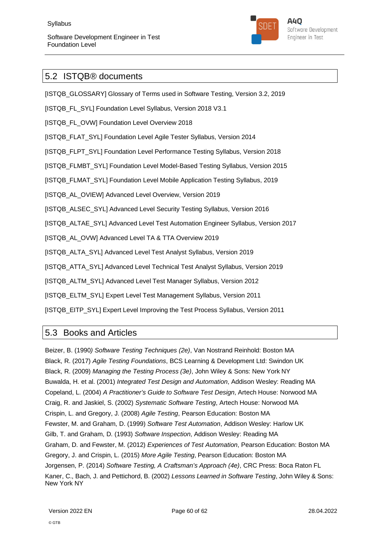

## 5.2 ISTQB® documents

[ISTQB\_GLOSSARY] Glossary of Terms used in Software Testing, Version 3.2, 2019

[ISTQB\_FL\_SYL] Foundation Level Syllabus, Version 2018 V3.1

[ISTQB\_FL\_OVW] Foundation Level Overview 2018

[ISTQB\_FLAT\_SYL] Foundation Level Agile Tester Syllabus, Version 2014

[ISTQB\_FLPT\_SYL] Foundation Level Performance Testing Syllabus, Version 2018

[ISTQB\_FLMBT\_SYL] Foundation Level Model-Based Testing Syllabus, Version 2015

[ISTQB\_FLMAT\_SYL] Foundation Level Mobile Application Testing Syllabus, 2019

[ISTQB\_AL\_OVIEW] Advanced Level Overview, Version 2019

[ISTQB\_ALSEC\_SYL] Advanced Level Security Testing Syllabus, Version 2016

[ISTQB\_ALTAE\_SYL] Advanced Level Test Automation Engineer Syllabus, Version 2017

[ISTQB\_AL\_OVW] Advanced Level TA & TTA Overview 2019

[ISTQB\_ALTA\_SYL] Advanced Level Test Analyst Syllabus, Version 2019

[ISTQB\_ATTA\_SYL] Advanced Level Technical Test Analyst Syllabus, Version 2019

[ISTQB\_ALTM\_SYL] Advanced Level Test Manager Syllabus, Version 2012

[ISTQB\_ELTM\_SYL] Expert Level Test Management Syllabus, Version 2011

[ISTQB\_EITP\_SYL] Expert Level Improving the Test Process Syllabus, Version 2011

## 5.3 Books and Articles

Beizer, B. (1990*) Software Testing Techniques (2e)*, Van Nostrand Reinhold: Boston MA Black, R. (2017) *Agile Testing Foundations*, BCS Learning & Development Ltd: Swindon UK Black, R. (2009) *Managing the Testing Process (3e)*, John Wiley & Sons: New York NY Buwalda, H. et al. (2001) *Integrated Test Design and Automation*, Addison Wesley: Reading MA Copeland, L. (2004) *A Practitioner's Guide to Software Test Design*, Artech House: Norwood MA Craig, R. and Jaskiel, S. (2002) *Systematic Software Testing*, Artech House: Norwood MA Crispin, L. and Gregory, J. (2008) *Agile Testing*, Pearson Education: Boston MA Fewster, M. and Graham, D. (1999) *Software Test Automation*, Addison Wesley: Harlow UK Gilb, T. and Graham, D. (1993) *Software Inspection*, Addison Wesley: Reading MA Graham, D. and Fewster, M. (2012) *Experiences of Test Automation*, Pearson Education: Boston MA Gregory, J. and Crispin, L. (2015) *More Agile Testing*, Pearson Education: Boston MA Jorgensen, P. (2014) *Software Testing, A Craftsman's Approach (4e)*, CRC Press: Boca Raton FL Kaner, C., Bach, J. and Pettichord, B. (2002) *Lessons Learned in Software Testing*, John Wiley & Sons: New York NY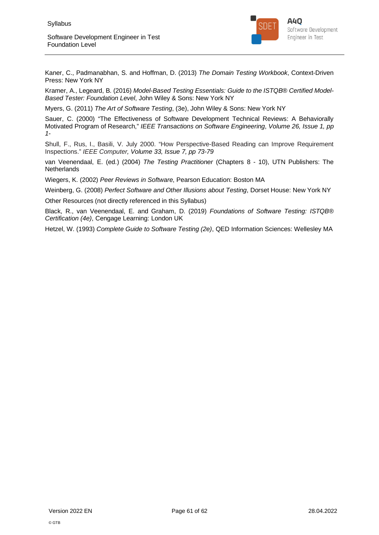

Kaner, C., Padmanabhan, S. and Hoffman, D. (2013) *The Domain Testing Workbook*, Context-Driven Press: New York NY

Kramer, A., Legeard, B. (2016) *Model-Based Testing Essentials: Guide to the ISTQB*® *Certified Model-Based Tester: Foundation Level*, John Wiley & Sons: New York NY

Myers, G. (2011) *The Art of Software Testing*, (3e), John Wiley & Sons: New York NY

Sauer, C. (2000) "The Effectiveness of Software Development Technical Reviews: A Behaviorally Motivated Program of Research," *IEEE Transactions on Software Engineering*, *Volume 26, Issue 1, pp 1-*

Shull, F., Rus, I., Basili, V. July 2000. "How Perspective-Based Reading can Improve Requirement Inspections." *IEEE Computer, Volume 33, Issue 7, pp 73-79*

van Veenendaal, E. (ed.) (2004) *The Testing Practitioner* (Chapters 8 - 10), UTN Publishers: The **Netherlands** 

Wiegers, K. (2002) *Peer Reviews in Software*, Pearson Education: Boston MA

Weinberg, G. (2008) *Perfect Software and Other Illusions about Testing*, Dorset House: New York NY

Other Resources (not directly referenced in this Syllabus)

Black, R., van Veenendaal, E. and Graham, D. (2019) *Foundations of Software Testing: ISTQB*® *Certification (4e)*, Cengage Learning: London UK

Hetzel, W. (1993) *Complete Guide to Software Testing (2e)*, QED Information Sciences: Wellesley MA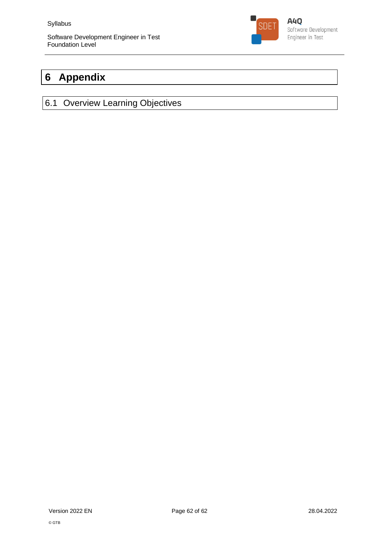

## **6 Appendix**

## 6.1 Overview Learning Objectives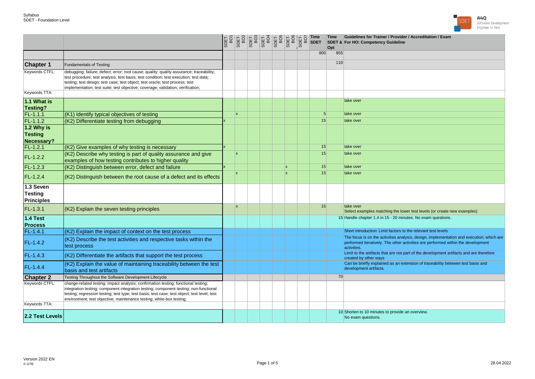

|                                                  |                                                                                                                                                                                                                                                                                                                                                       |              |  |              |          | Time<br>Opt | Guidelines for Trainer / Provider / Accreditation / Exam<br><b>SDET &amp; For HO: Competency Guideline</b>                                                                                  |
|--------------------------------------------------|-------------------------------------------------------------------------------------------------------------------------------------------------------------------------------------------------------------------------------------------------------------------------------------------------------------------------------------------------------|--------------|--|--------------|----------|-------------|---------------------------------------------------------------------------------------------------------------------------------------------------------------------------------------------|
|                                                  |                                                                                                                                                                                                                                                                                                                                                       |              |  |              | 800      | 855         |                                                                                                                                                                                             |
| <b>Chapter 1</b>                                 | <b>Fundamentals of Testing</b>                                                                                                                                                                                                                                                                                                                        |              |  |              |          | 110         |                                                                                                                                                                                             |
| Keywords CTFL:                                   | debugging; failure; defect; error; root cause; quality; quality assurance; traceability;<br>test procedure; test analysis; test basis; test condition; test execution; test data;<br>testing; test design; test case; test object; test oracle; test process; test<br>implementation; test suite; test objective; coverage; validation; verification; |              |  |              |          |             |                                                                                                                                                                                             |
| Keywords TTA:                                    |                                                                                                                                                                                                                                                                                                                                                       |              |  |              |          |             |                                                                                                                                                                                             |
| 1.1 What is<br><b>Testing?</b>                   |                                                                                                                                                                                                                                                                                                                                                       |              |  |              |          |             | take over                                                                                                                                                                                   |
| $FL-1.1.1$                                       | (K1) Identify typical objectives of testing                                                                                                                                                                                                                                                                                                           | $\mathbf{x}$ |  |              | 5        |             | take over                                                                                                                                                                                   |
| $FL-1.1.2$                                       | (K2) Differentiate testing from debugging                                                                                                                                                                                                                                                                                                             |              |  |              | 15       |             | take over                                                                                                                                                                                   |
| 1.2 Why is                                       |                                                                                                                                                                                                                                                                                                                                                       |              |  |              |          |             |                                                                                                                                                                                             |
| <b>Testing</b>                                   |                                                                                                                                                                                                                                                                                                                                                       |              |  |              |          |             |                                                                                                                                                                                             |
| Necessary?                                       |                                                                                                                                                                                                                                                                                                                                                       |              |  |              |          |             |                                                                                                                                                                                             |
| $FL-1.2.1$                                       | (K2) Give examples of why testing is necessary                                                                                                                                                                                                                                                                                                        | İχ           |  |              | 15<br>15 |             | take over<br>take over                                                                                                                                                                      |
| $FL-1.2.2$                                       | (K2) Describe why testing is part of quality assurance and give<br>examples of how testing contributes to higher quality                                                                                                                                                                                                                              |              |  |              |          |             |                                                                                                                                                                                             |
| $FL-1.2.3$                                       | (K2) Distinguish between error, defect and failure                                                                                                                                                                                                                                                                                                    |              |  | Ιx.          | 15       |             | take over                                                                                                                                                                                   |
| $FL-1.2.4$                                       | (K2) Distinguish between the root cause of a defect and its effects                                                                                                                                                                                                                                                                                   | Ιx.          |  | $\mathbf{x}$ | 15       |             | take over                                                                                                                                                                                   |
| 1.3 Seven<br><b>Testing</b><br><b>Principles</b> |                                                                                                                                                                                                                                                                                                                                                       |              |  |              |          |             |                                                                                                                                                                                             |
| $FL-1.3.1$                                       | (K2) Explain the seven testing principles                                                                                                                                                                                                                                                                                                             | Ιx           |  |              | 15       |             | take over<br>Select examples matching the lower test levels (or create new examples)                                                                                                        |
| 1.4 Test<br><b>Process</b>                       |                                                                                                                                                                                                                                                                                                                                                       |              |  |              |          |             | 15 Handle chapter 1.4 in 15 - 20 minutes. No exam questions.                                                                                                                                |
| $FL-1.4.1$                                       | (K2) Explain the impact of context on the test process                                                                                                                                                                                                                                                                                                |              |  |              |          |             | Short introduction: Limit factors to the relevant test levels                                                                                                                               |
| FL-1.4.2                                         | (K2) Describe the test activities and respective tasks within the<br>test process                                                                                                                                                                                                                                                                     |              |  |              |          |             | The focus is on the activities analysis, design, implementation and execution, which are<br>performed iteratively. The other activities are performed within the development<br>activities. |
| $FL-1.4.3$                                       | (K2) Differentiate the artifacts that support the test process                                                                                                                                                                                                                                                                                        |              |  |              |          |             | Limit to the artifacts that are not part of the development artifacts and are therefore<br>created by other ways                                                                            |
| FL-1.4.4                                         | (K2) Explain the value of maintaining traceability between the test<br>basis and test artifacts                                                                                                                                                                                                                                                       |              |  |              |          |             | Can be briefly explained as an extension of traceability between test basis and<br>development artifacts.                                                                                   |
| <b>Chapter 2</b>                                 | Testing Throughout the Software Development Lifecycle                                                                                                                                                                                                                                                                                                 |              |  |              |          | 70          |                                                                                                                                                                                             |
| Keywords CTFL:                                   | change-related testing; impact analysis; confirmation testing; functional testing;<br>integration testing; component integration testing; component testing; non-functional<br>testing; regression testing; test type; test basis; test case; test object; test level; test<br>environment; test objective; maintenance testing; white-box testing;   |              |  |              |          |             |                                                                                                                                                                                             |
| Keywords TTA:                                    |                                                                                                                                                                                                                                                                                                                                                       |              |  |              |          |             |                                                                                                                                                                                             |
| 2.2 Test Levels                                  |                                                                                                                                                                                                                                                                                                                                                       |              |  |              |          |             | 10 Shorten to 10 minutes to provide an overview.<br>No exam questions.                                                                                                                      |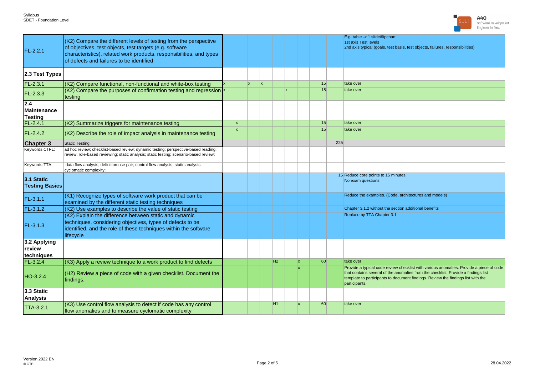

| FL-2.2.1                             | (K2) Compare the different levels of testing from the perspective<br>of objectives, test objects, test targets (e.g. software<br>characteristics), related work products, responsibilities, and types<br>of defects and failures to be identified |     |    |    |                |              |     |    |     | E.g. table -> 1 slide/flipchart<br>1st axis Test levels<br>2nd axis typical (goals, test basis, test objects, failures, responsibilities)                                                                                                                                          |
|--------------------------------------|---------------------------------------------------------------------------------------------------------------------------------------------------------------------------------------------------------------------------------------------------|-----|----|----|----------------|--------------|-----|----|-----|------------------------------------------------------------------------------------------------------------------------------------------------------------------------------------------------------------------------------------------------------------------------------------|
| 2.3 Test Types                       |                                                                                                                                                                                                                                                   |     |    |    |                |              |     |    |     |                                                                                                                                                                                                                                                                                    |
| $FL-2.3.1$                           | (K2) Compare functional, non-functional and white-box testing                                                                                                                                                                                     |     | X. | İχ |                |              |     | 15 |     | take over                                                                                                                                                                                                                                                                          |
| $FL-2.3.3$                           | (K2) Compare the purposes of confirmation testing and regression $\frac{x}{x}$<br>testing                                                                                                                                                         |     |    |    |                | $\mathbf{x}$ |     | 15 |     | take over                                                                                                                                                                                                                                                                          |
| 2.4<br>Maintenance<br><b>Testing</b> |                                                                                                                                                                                                                                                   |     |    |    |                |              |     |    |     |                                                                                                                                                                                                                                                                                    |
| $FL-2.4.1$                           | (K2) Summarize triggers for maintenance testing                                                                                                                                                                                                   | Ιx. |    |    |                |              |     | 15 |     | take over                                                                                                                                                                                                                                                                          |
| $FL-2.4.2$                           | (K2) Describe the role of impact analysis in maintenance testing                                                                                                                                                                                  | x   |    |    |                |              |     | 15 |     | take over                                                                                                                                                                                                                                                                          |
| <b>Chapter 3</b>                     | <b>Static Testing</b>                                                                                                                                                                                                                             |     |    |    |                |              |     |    | 225 |                                                                                                                                                                                                                                                                                    |
| Keywords CTFL:                       | ad hoc review; checklist-based review; dynamic testing; perspective-based reading;<br>review; role-based reviewing; static analysis; static testing; scenario-based review;                                                                       |     |    |    |                |              |     |    |     |                                                                                                                                                                                                                                                                                    |
| Keywords TTA:                        | data flow analysis; definition-use pair; control flow analysis; static analysis;<br>cyclomatic complexity;                                                                                                                                        |     |    |    |                |              |     |    |     |                                                                                                                                                                                                                                                                                    |
| 3.1 Static<br><b>Testing Basics</b>  |                                                                                                                                                                                                                                                   |     |    |    |                |              |     |    |     | 15 Reduce core points to 15 minutes.<br>No exam questions                                                                                                                                                                                                                          |
| FL-3.1.1                             | (K1) Recognize types of software work product that can be<br>examined by the different static testing techniques                                                                                                                                  |     |    |    |                |              |     |    |     | Reduce the examples. (Code, architectures and models)                                                                                                                                                                                                                              |
| $FL-3.1.2$                           | (K2) Use examples to describe the value of static testing                                                                                                                                                                                         |     |    |    |                |              |     |    |     | Chapter 3.1.2 without the section additional benefits                                                                                                                                                                                                                              |
| $FL-3.1.3$                           | (K2) Explain the difference between static and dynamic<br>techniques, considering objectives, types of defects to be<br>identified, and the role of these techniques within the software<br>lifecycle                                             |     |    |    |                |              |     |    |     | Replace by TTA Chapter 3.1                                                                                                                                                                                                                                                         |
| 3.2 Applying<br>review<br>techniques |                                                                                                                                                                                                                                                   |     |    |    |                |              |     |    |     |                                                                                                                                                                                                                                                                                    |
| $FL-3.2.4$                           | (K3) Apply a review technique to a work product to find defects                                                                                                                                                                                   |     |    |    | H <sub>2</sub> |              | Ιx. | 60 |     | take over                                                                                                                                                                                                                                                                          |
| HO-3.2.4                             | (H2) Review a piece of code with a given checklist. Document the<br>findings.                                                                                                                                                                     |     |    |    |                |              |     |    |     | Provide a typical code review checklist with various anomalies. Provide a piece of code<br>that contains several of the anomalies from the checklist. Provide a findings list<br>template to participants to document findings. Review the findings list with the<br>participants. |
| 3.3 Static<br><b>Analysis</b>        |                                                                                                                                                                                                                                                   |     |    |    |                |              |     |    |     |                                                                                                                                                                                                                                                                                    |
| <b>TTA-3.2.1</b>                     | (K3) Use control flow analysis to detect if code has any control<br>flow anomalies and to measure cyclomatic complexity                                                                                                                           |     |    |    | H1             |              | l x | 60 |     | take over                                                                                                                                                                                                                                                                          |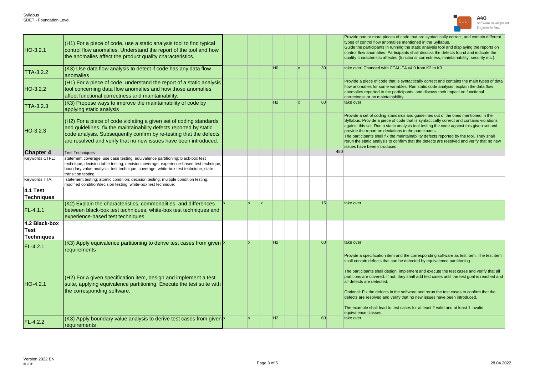

| HO-3.2.1                                   | (H1) For a piece of code, use a static analysis tool to find typical<br>control flow anomalies. Understand the report of the tool and how<br>the anomalies affect the product quality characteristics.                                                                                |  |     |                 |                |    |    |     | Provide one or more pieces of code that are syntactically correct, and contain different<br>types of control flow anomalies mentioned in the Syllabus.<br>Guide the participants in running the static analysis tool and displaying the reports on<br>control flow anomalies. Participants shall discuss the defects found and indicate the<br>quality characteristic affected (functional correctness, maintainability, security etc.).                                                                                                                                                                                                                                     |
|--------------------------------------------|---------------------------------------------------------------------------------------------------------------------------------------------------------------------------------------------------------------------------------------------------------------------------------------|--|-----|-----------------|----------------|----|----|-----|------------------------------------------------------------------------------------------------------------------------------------------------------------------------------------------------------------------------------------------------------------------------------------------------------------------------------------------------------------------------------------------------------------------------------------------------------------------------------------------------------------------------------------------------------------------------------------------------------------------------------------------------------------------------------|
| <b>TTA-3.2.2</b>                           | (K3) Use data flow analysis to detect if code has any data flow<br>anomalies                                                                                                                                                                                                          |  |     |                 | H <sub>0</sub> | ١x | 30 |     | take over; Changed with CTAL-TA v4.0 from K2 to K3                                                                                                                                                                                                                                                                                                                                                                                                                                                                                                                                                                                                                           |
| HO-3.2.2                                   | (H1) For a piece of code, understand the report of a static analysis<br>tool concerning data flow anomalies and how those anomalies<br>affect functional correctness and maintainability.                                                                                             |  |     |                 |                |    |    |     | Provide a piece of code that is syntactically correct and contains the main types of data<br>flow anomalies for some variables. Run static code analysis, explain the data flow<br>anomalies reported to the participants, and discuss their impact on functional<br>correctness or on maintainability.                                                                                                                                                                                                                                                                                                                                                                      |
| <b>TTA-3.2.3</b>                           | (K3) Propose ways to improve the maintainability of code by<br>applying static analysis                                                                                                                                                                                               |  |     |                 | H2             | ١x | 60 |     | take over                                                                                                                                                                                                                                                                                                                                                                                                                                                                                                                                                                                                                                                                    |
| HO-3.2.3                                   | (H2) For a piece of code violating a given set of coding standards<br>and guidelines, fix the maintainability defects reported by static<br>code analysis. Subsequently confirm by re-testing that the defects<br>are resolved and verify that no new issues have been introduced.    |  |     |                 |                |    |    |     | Provide a set of coding standards and guidelines out of the ones mentioned in the<br>Syllabus. Provide a piece of code that is syntactically correct and contains violations<br>against this set. Run a static analysis tool testing the code against this given set and<br>provide the report on deviations to the participants.<br>The participants shall fix the maintainability defects reported by the tool. They shall<br>rerun the static analysis to confirm that the defects are resolved and verify that no new<br>issues have been introduced.                                                                                                                    |
| <b>Chapter 4</b>                           | <b>Test Techniques</b>                                                                                                                                                                                                                                                                |  |     |                 |                |    |    | 450 |                                                                                                                                                                                                                                                                                                                                                                                                                                                                                                                                                                                                                                                                              |
| Keywords CTFL:                             | statement coverage; use case testing; equivalence partitioning; black-box test<br>technique; decision table testing; decision coverage; experience-based test technique;<br>boundary value analysis; test technique; coverage; white-box test technique; state<br>transition testing; |  |     |                 |                |    |    |     |                                                                                                                                                                                                                                                                                                                                                                                                                                                                                                                                                                                                                                                                              |
| Keywords TTA:                              | statement testing; atomic condition; decision testing; multiple condition testing;<br>modified condition/decision testing; white-box test technique;                                                                                                                                  |  |     |                 |                |    |    |     |                                                                                                                                                                                                                                                                                                                                                                                                                                                                                                                                                                                                                                                                              |
| <b>4.1 Test</b><br><b>Techniques</b>       |                                                                                                                                                                                                                                                                                       |  |     |                 |                |    |    |     |                                                                                                                                                                                                                                                                                                                                                                                                                                                                                                                                                                                                                                                                              |
|                                            | (K2) Explain the characteristics, commonalities, and differences                                                                                                                                                                                                                      |  | x   | $\vert x \vert$ |                |    | 15 |     | take over                                                                                                                                                                                                                                                                                                                                                                                                                                                                                                                                                                                                                                                                    |
| FL-4.1.1                                   | between black-box test techniques, white-box test techniques and<br>experience-based test techniques                                                                                                                                                                                  |  |     |                 |                |    |    |     |                                                                                                                                                                                                                                                                                                                                                                                                                                                                                                                                                                                                                                                                              |
| 4.2 Black-box<br>Test<br><b>Techniques</b> |                                                                                                                                                                                                                                                                                       |  |     |                 |                |    |    |     |                                                                                                                                                                                                                                                                                                                                                                                                                                                                                                                                                                                                                                                                              |
| FL-4.2.1                                   | (K3) Apply equivalence partitioning to derive test cases from given $\frac{x}{x}$<br>requirements                                                                                                                                                                                     |  | Ιx. |                 | H2             |    | 60 |     | take over                                                                                                                                                                                                                                                                                                                                                                                                                                                                                                                                                                                                                                                                    |
| $HO-4.2.1$                                 | (H2) For a given specification item, design and implement a test<br>suite, applying equivalence partitioning. Execute the test suite with<br>the corresponding software.                                                                                                              |  |     |                 |                |    |    |     | Provide a specification item and the corresponding software as test item. The test item<br>shall contain defects that can be detected by equivalence partitioning.<br>The participants shall design, implement and execute the test cases and verify that all<br>partitions are covered. If not, they shall add test cases until the test goal is reached and<br>all defects are detected.<br>Optional: Fix the defects in the software and rerun the test cases to confirm that the<br>defects are resolved and verify that no new issues have been introduced.<br>The example shall lead to test cases for at least 2 valid and at least 1 invalid<br>equivalence classes. |
| FL-4.2.2                                   | (K3) Apply boundary value analysis to derive test cases from given<br>requirements                                                                                                                                                                                                    |  | x   |                 | H2             |    | 60 |     | take over                                                                                                                                                                                                                                                                                                                                                                                                                                                                                                                                                                                                                                                                    |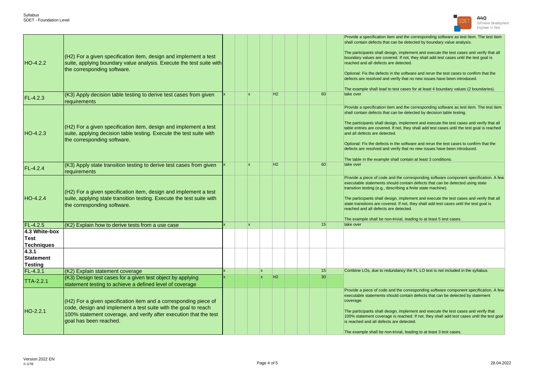

| HO-4.2.2                                    | $(H2)$ For a given specification item, design and implement a test<br>suite, applying boundary value analysis. Execute the test suite with<br>the corresponding software.                                                             |  |                 |          |                |  |                 | Provide a specification item and the corresponding software as test item. The test item<br>shall contain defects that can be detected by boundary value analysis.<br>The participants shall design, implement and execute the test cases and verify that all<br>boundary values are covered. If not, they shall add test cases until the test goal is<br>reached and all defects are detected.<br>Optional: Fix the defects in the software and rerun the test cases to confirm that the<br>defects are resolved and verify that no new issues have been introduced.<br>The example shall lead to test cases for at least 4 boundary values (2 boundaries). |
|---------------------------------------------|---------------------------------------------------------------------------------------------------------------------------------------------------------------------------------------------------------------------------------------|--|-----------------|----------|----------------|--|-----------------|-------------------------------------------------------------------------------------------------------------------------------------------------------------------------------------------------------------------------------------------------------------------------------------------------------------------------------------------------------------------------------------------------------------------------------------------------------------------------------------------------------------------------------------------------------------------------------------------------------------------------------------------------------------|
| FL-4.2.3                                    | (K3) Apply decision table testing to derive test cases from given<br>requirements                                                                                                                                                     |  | lx.             |          | H <sub>2</sub> |  | 60              | take over                                                                                                                                                                                                                                                                                                                                                                                                                                                                                                                                                                                                                                                   |
| HO-4.2.3                                    | $(H2)$ For a given specification item, design and implement a test<br>suite, applying decision table testing. Execute the test suite with<br>the corresponding software.                                                              |  |                 |          |                |  |                 | Provide a specification item and the corresponding software as test item. The test item<br>shall contain defects that can be detected by decision table testing.<br>The participants shall design, implement and execute the test cases and verify that all<br>table entries are covered. If not, they shall add test cases until the test goal is reached<br>and all defects are detected.<br>Optional: Fix the defects in the software and rerun the test cases to confirm that the<br>defects are resolved and verify that no new issues have been introduced.<br>The table in the example shall contain at least 3 conditions.                          |
| FL-4.2.4                                    | (K3) Apply state transition testing to derive test cases from given<br>requirements                                                                                                                                                   |  | lx.             |          | H <sub>2</sub> |  | 60              | take over                                                                                                                                                                                                                                                                                                                                                                                                                                                                                                                                                                                                                                                   |
| $HO-4.2.4$                                  | $(H2)$ For a given specification item, design and implement a test<br>suite, applying state transition testing. Execute the test suite with<br>the corresponding software.                                                            |  |                 |          |                |  |                 | Provide a piece of code and the corresponding software component specification. A few<br>executable statements should contain defects that can be detected using state<br>transition testing (e.g., describing a finite state machine).<br>The participants shall design, implement and execute the test cases and verify that all<br>state transitions are covered. If not, they shall add test cases until the test goal is<br>reached and all defects are detected.<br>The example shall be non-trivial, leading to at least 5 test cases.                                                                                                               |
| $FL-4.2.5$                                  | (K2) Explain how to derive tests from a use case                                                                                                                                                                                      |  | $\vert x \vert$ |          |                |  | 15              | take over                                                                                                                                                                                                                                                                                                                                                                                                                                                                                                                                                                                                                                                   |
| 4.3 White-box<br>Test<br>Techniques         |                                                                                                                                                                                                                                       |  |                 |          |                |  |                 |                                                                                                                                                                                                                                                                                                                                                                                                                                                                                                                                                                                                                                                             |
| 4.3.1<br><b>Statement</b><br><b>Testing</b> |                                                                                                                                                                                                                                       |  |                 |          |                |  |                 |                                                                                                                                                                                                                                                                                                                                                                                                                                                                                                                                                                                                                                                             |
| FL-4.3.1                                    | (K2) Explain statement coverage                                                                                                                                                                                                       |  |                 | <b>x</b> |                |  | 15              | Combine LOs, due to redundancy the FL LO text is not included in the syllabus.                                                                                                                                                                                                                                                                                                                                                                                                                                                                                                                                                                              |
| <b>TTA-2.2.1</b>                            | (K3) Design test cases for a given test object by applying<br>statement testing to achieve a defined level of coverage                                                                                                                |  |                 | lx.      | H <sub>2</sub> |  | 30 <sup>1</sup> |                                                                                                                                                                                                                                                                                                                                                                                                                                                                                                                                                                                                                                                             |
| HO-2.2.1                                    | $($ H2) For a given specification item and a corresponding piece of<br>code, design and implement a test suite with the goal to reach<br>100% statement coverage, and verify after execution that the test<br>lgoal has been reached. |  |                 |          |                |  |                 | Provide a piece of code and the corresponding software component specification. A few<br>executable statements should contain defects that can be detected by statement<br>coverage.<br>The participants shall design, implement and execute the test cases and verify that<br>100% statement coverage is reached. If not, they shall add test cases until the test goal<br>is reached and all defects are detected.<br>The example shall be non-trivial, leading to at least 3 test cases.                                                                                                                                                                 |